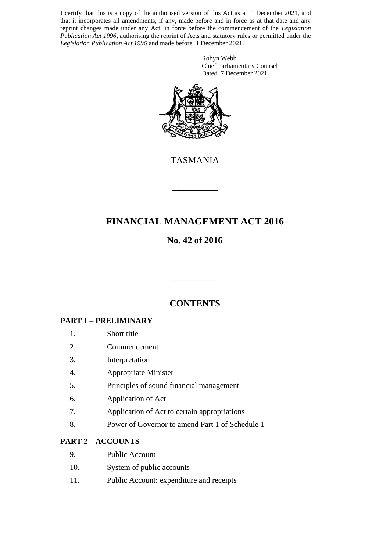I certify that this is a copy of the authorised version of this Act as at 1 December 2021, and that it incorporates all amendments, if any, made before and in force as at that date and any reprint changes made under any Act, in force before the commencement of the *Legislation Publication Act 1996*, authorising the reprint of Acts and statutory rules or permitted under the *Legislation Publication Act 1996* and made before 1 December 2021.

> Robyn Webb Chief Parliamentary Counsel Dated 7 December 2021



TASMANIA

\_\_\_\_\_\_\_\_\_\_

# **FINANCIAL MANAGEMENT ACT 2016**

# **No. 42 of 2016**

# **CONTENTS**

\_\_\_\_\_\_\_\_\_\_

## **PART 1 – PRELIMINARY**

- 1. Short title
- 2. Commencement
- 3. Interpretation
- 4. Appropriate Minister
- 5. Principles of sound financial management
- 6. Application of Act
- 7. Application of Act to certain appropriations
- 8. Power of Governor to amend Part 1 of Schedule 1

### **PART 2 – ACCOUNTS**

- 9. Public Account
- 10. System of public accounts
- 11. Public Account: expenditure and receipts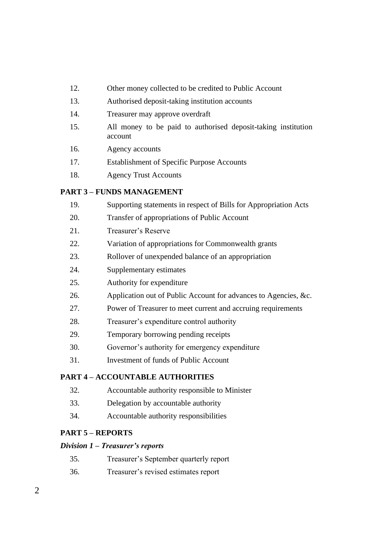- 12. Other money collected to be credited to Public Account
- 13. Authorised deposit-taking institution accounts
- 14. Treasurer may approve overdraft
- 15. All money to be paid to authorised deposit-taking institution account
- 16. Agency accounts
- 17. Establishment of Specific Purpose Accounts
- 18. Agency Trust Accounts

### **PART 3 – FUNDS MANAGEMENT**

| 19.                                     | Supporting statements in respect of Bills for Appropriation Acts |  |  |  |  |  |
|-----------------------------------------|------------------------------------------------------------------|--|--|--|--|--|
| 20.                                     | Transfer of appropriations of Public Account                     |  |  |  |  |  |
| 21.                                     | Treasurer's Reserve                                              |  |  |  |  |  |
| 22.                                     | Variation of appropriations for Commonwealth grants              |  |  |  |  |  |
| 23.                                     | Rollover of unexpended balance of an appropriation               |  |  |  |  |  |
| 24.                                     | Supplementary estimates                                          |  |  |  |  |  |
| 25.                                     | Authority for expenditure                                        |  |  |  |  |  |
| 26.                                     | Application out of Public Account for advances to Agencies, &c.  |  |  |  |  |  |
| 27.                                     | Power of Treasurer to meet current and accruing requirements     |  |  |  |  |  |
| 28.                                     | Treasurer's expenditure control authority                        |  |  |  |  |  |
| 29.                                     | Temporary borrowing pending receipts                             |  |  |  |  |  |
| 30.                                     | Governor's authority for emergency expenditure                   |  |  |  |  |  |
| 31.                                     | <b>Investment of funds of Public Account</b>                     |  |  |  |  |  |
| <b>PART 4 – ACCOUNTABLE AUTHORITIES</b> |                                                                  |  |  |  |  |  |
| 32.                                     | Accountable authority responsible to Minister                    |  |  |  |  |  |
|                                         |                                                                  |  |  |  |  |  |

- 33. Delegation by accountable authority
- 34. Accountable authority responsibilities

### **PART 5 – REPORTS**

#### *Division 1 – Treasurer's reports*

- 35. Treasurer's September quarterly report
- 36. Treasurer's revised estimates report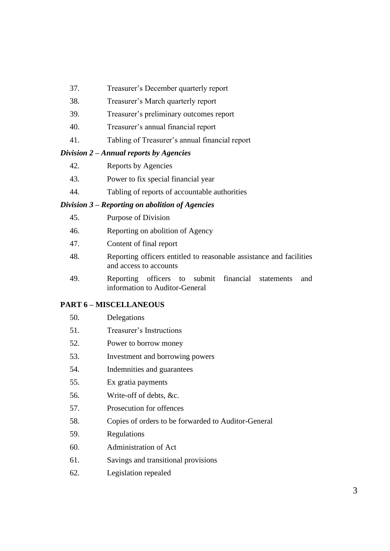- 37. Treasurer's December quarterly report
- 38. Treasurer's March quarterly report
- 39. Treasurer's preliminary outcomes report
- 40. Treasurer's annual financial report
- 41. Tabling of Treasurer's annual financial report

#### *Division 2 – Annual reports by Agencies*

- 42. Reports by Agencies
- 43. Power to fix special financial year
- 44. Tabling of reports of accountable authorities

#### *Division 3 – Reporting on abolition of Agencies*

- 45. Purpose of Division
- 46. Reporting on abolition of Agency
- 47. Content of final report
- 48. Reporting officers entitled to reasonable assistance and facilities and access to accounts
- 49. Reporting officers to submit financial statements and information to Auditor-General

#### **PART 6 – MISCELLANEOUS**

- 51. Treasurer's Instructions
- 52. Power to borrow money
- 53. Investment and borrowing powers
- 54. Indemnities and guarantees
- 55. Ex gratia payments
- 56. Write-off of debts, &c.
- 57. Prosecution for offences
- 58. Copies of orders to be forwarded to Auditor-General
- 59. Regulations
- 60. Administration of Act
- 61. Savings and transitional provisions
- 62. Legislation repealed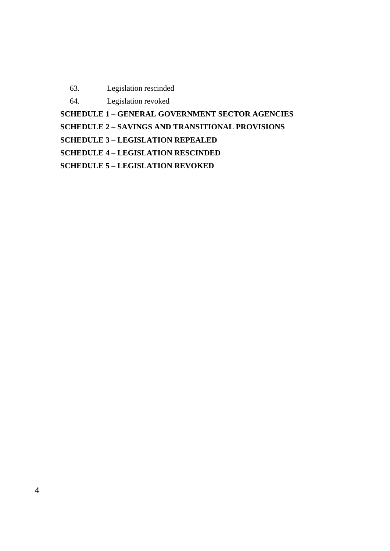- 63. Legislation rescinded
- 64. Legislation revoked

**SCHEDULE 1 – GENERAL GOVERNMENT SECTOR AGENCIES**

**SCHEDULE 2 – SAVINGS AND TRANSITIONAL PROVISIONS**

**SCHEDULE 3 – LEGISLATION REPEALED**

**SCHEDULE 4 – LEGISLATION RESCINDED**

**SCHEDULE 5 – LEGISLATION REVOKED**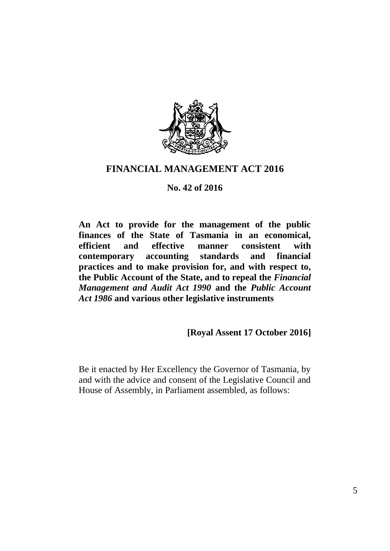

# **FINANCIAL MANAGEMENT ACT 2016**

### **No. 42 of 2016**

**An Act to provide for the management of the public finances of the State of Tasmania in an economical, efficient and effective manner consistent with contemporary accounting standards and financial practices and to make provision for, and with respect to, the Public Account of the State, and to repeal the** *Financial Management and Audit Act 1990* **and the** *Public Account Act 1986* **and various other legislative instruments**

**[Royal Assent 17 October 2016]**

Be it enacted by Her Excellency the Governor of Tasmania, by and with the advice and consent of the Legislative Council and House of Assembly, in Parliament assembled, as follows: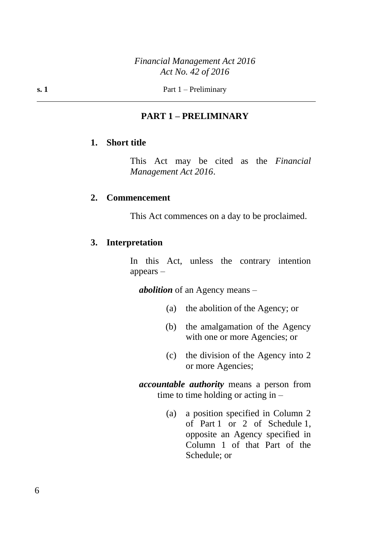## **PART 1 – PRELIMINARY**

### **1. Short title**

This Act may be cited as the *Financial Management Act 2016*.

#### **2. Commencement**

This Act commences on a day to be proclaimed.

#### **3. Interpretation**

In this Act, unless the contrary intention appears –

*abolition* of an Agency means –

- (a) the abolition of the Agency; or
- (b) the amalgamation of the Agency with one or more Agencies; or
- (c) the division of the Agency into 2 or more Agencies;

*accountable authority* means a person from time to time holding or acting in –

> (a) a position specified in Column 2 of Part 1 or 2 of Schedule 1, opposite an Agency specified in Column 1 of that Part of the Schedule; or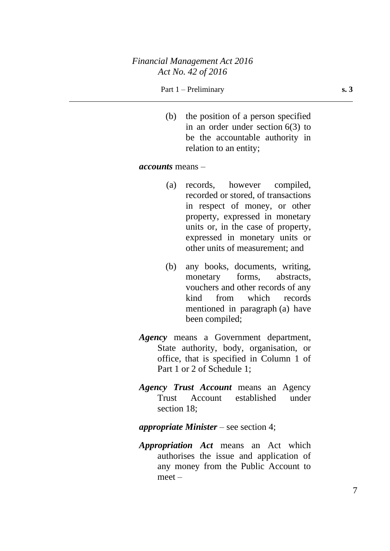### *Financial Management Act 2016 Act No. 42 of 2016*

#### Part 1 – Preliminary **s. 3**

(b) the position of a person specified in an order under section 6(3) to be the accountable authority in relation to an entity;

#### *accounts* means –

- (a) records, however compiled, recorded or stored, of transactions in respect of money, or other property, expressed in monetary units or, in the case of property, expressed in monetary units or other units of measurement; and
- (b) any books, documents, writing, monetary forms, abstracts, vouchers and other records of any kind from which records mentioned in paragraph (a) have been compiled;
- *Agency* means a Government department, State authority, body, organisation, or office, that is specified in Column 1 of Part 1 or 2 of Schedule 1;
- *Agency Trust Account* means an Agency Trust Account established under section 18;
- *appropriate Minister* see section 4;
- *Appropriation Act* means an Act which authorises the issue and application of any money from the Public Account to meet –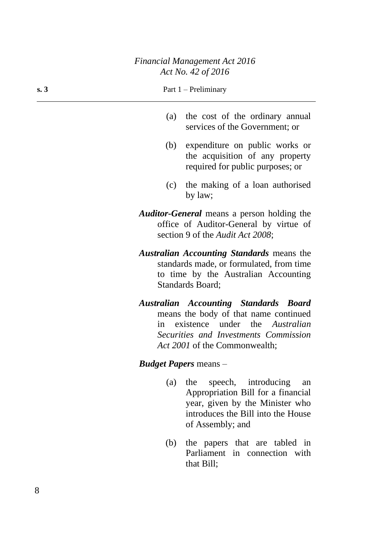### *Financial Management Act 2016 Act No. 42 of 2016*

#### **s. 3** Part  $1 -$  Preliminary

- (a) the cost of the ordinary annual services of the Government; or
- (b) expenditure on public works or the acquisition of any property required for public purposes; or
- (c) the making of a loan authorised by law;
- *Auditor-General* means a person holding the office of Auditor-General by virtue of section 9 of the *Audit Act 2008*;
- *Australian Accounting Standards* means the standards made, or formulated, from time to time by the Australian Accounting Standards Board;
- *Australian Accounting Standards Board* means the body of that name continued in existence under the *Australian Securities and Investments Commission Act 2001* of the Commonwealth;

#### *Budget Papers* means –

- (a) the speech, introducing an Appropriation Bill for a financial year, given by the Minister who introduces the Bill into the House of Assembly; and
- (b) the papers that are tabled in Parliament in connection with that Bill;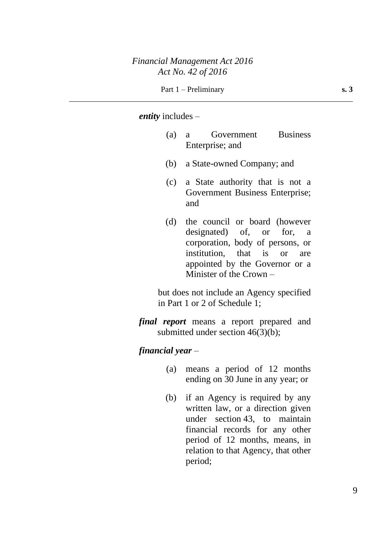#### *entity* includes –

- (a) a Government Business Enterprise; and
- (b) a State-owned Company; and
- (c) a State authority that is not a Government Business Enterprise; and
- (d) the council or board (however designated) of, or for, a corporation, body of persons, or institution, that is or are appointed by the Governor or a Minister of the Crown –

but does not include an Agency specified in Part 1 or 2 of Schedule 1;

*final report* means a report prepared and submitted under section 46(3)(b);

#### *financial year* –

- (a) means a period of 12 months ending on 30 June in any year; or
- (b) if an Agency is required by any written law, or a direction given under section 43, to maintain financial records for any other period of 12 months, means, in relation to that Agency, that other period;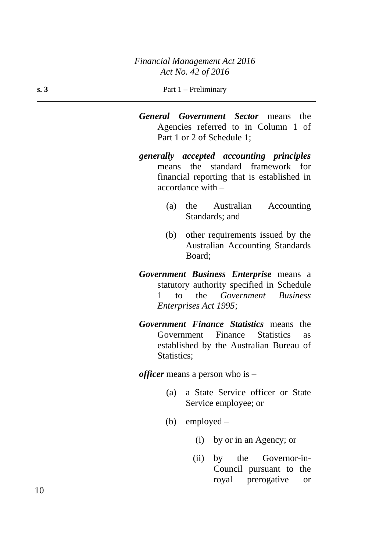*General Government Sector* means the Agencies referred to in Column 1 of Part 1 or 2 of Schedule 1;

- *generally accepted accounting principles* means the standard framework for financial reporting that is established in accordance with –
	- (a) the Australian Accounting Standards; and
	- (b) other requirements issued by the Australian Accounting Standards Board;
- *Government Business Enterprise* means a statutory authority specified in Schedule 1 to the *Government Business Enterprises Act 1995*;
- *Government Finance Statistics* means the Government Finance Statistics as established by the Australian Bureau of Statistics:

*officer* means a person who is –

- (a) a State Service officer or State Service employee; or
- (b) employed
	- (i) by or in an Agency; or
	- (ii) by the Governor-in-Council pursuant to the royal prerogative or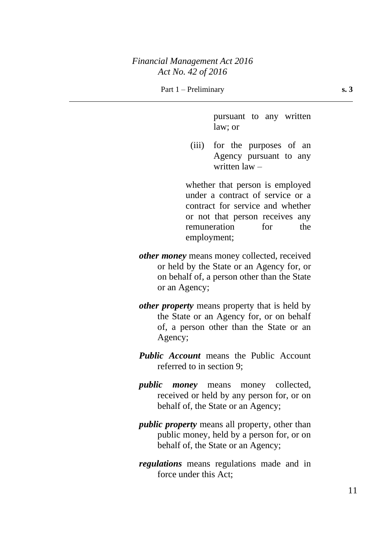### *Financial Management Act 2016 Act No. 42 of 2016*

Part 1 – Preliminary **s. 3** 

pursuant to any written law; or

(iii) for the purposes of an Agency pursuant to any written law –

whether that person is employed under a contract of service or a contract for service and whether or not that person receives any remuneration for the employment;

- *other money* means money collected, received or held by the State or an Agency for, or on behalf of, a person other than the State or an Agency;
- *other property* means property that is held by the State or an Agency for, or on behalf of, a person other than the State or an Agency;
- *Public Account* means the Public Account referred to in section 9;
- *public money* means money collected, received or held by any person for, or on behalf of, the State or an Agency;
- *public property* means all property, other than public money, held by a person for, or on behalf of, the State or an Agency;
- *regulations* means regulations made and in force under this Act;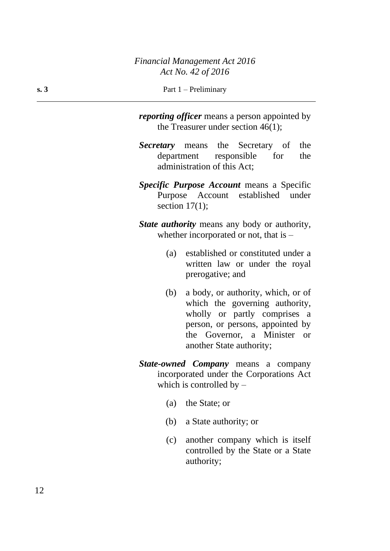*reporting officer* means a person appointed by the Treasurer under section 46(1);

*Secretary* means the Secretary of the department responsible for the administration of this Act;

*Specific Purpose Account* means a Specific Purpose Account established under section  $17(1)$ ;

*State authority* means any body or authority, whether incorporated or not, that is –

- (a) established or constituted under a written law or under the royal prerogative; and
- (b) a body, or authority, which, or of which the governing authority, wholly or partly comprises a person, or persons, appointed by the Governor, a Minister or another State authority;
- *State-owned Company* means a company incorporated under the Corporations Act which is controlled by  $-$ 
	- (a) the State; or
	- (b) a State authority; or
	- (c) another company which is itself controlled by the State or a State authority;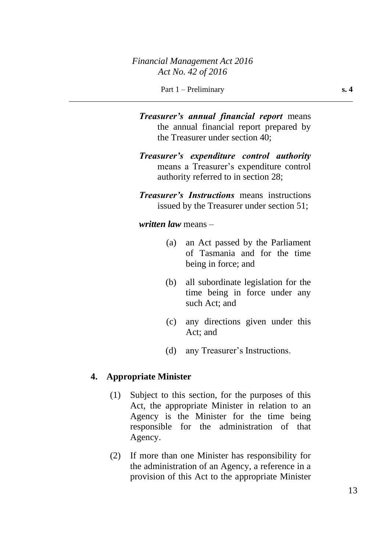*Treasurer's annual financial report* means the annual financial report prepared by the Treasurer under section 40;

*Treasurer's expenditure control authority* means a Treasurer's expenditure control authority referred to in section 28;

*Treasurer's Instructions* means instructions issued by the Treasurer under section 51;

*written law* means –

- (a) an Act passed by the Parliament of Tasmania and for the time being in force; and
- (b) all subordinate legislation for the time being in force under any such Act; and
- (c) any directions given under this Act; and
- (d) any Treasurer's Instructions.

### **4. Appropriate Minister**

- (1) Subject to this section, for the purposes of this Act, the appropriate Minister in relation to an Agency is the Minister for the time being responsible for the administration of that Agency.
- (2) If more than one Minister has responsibility for the administration of an Agency, a reference in a provision of this Act to the appropriate Minister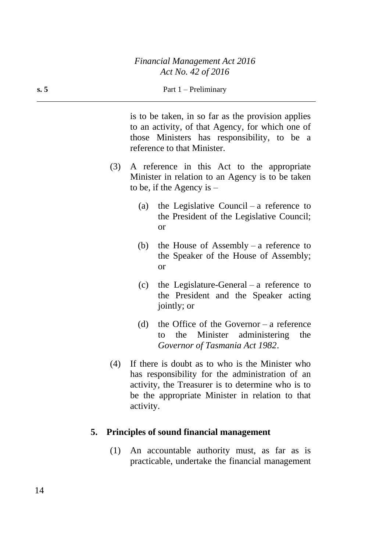is to be taken, in so far as the provision applies to an activity, of that Agency, for which one of those Ministers has responsibility, to be a reference to that Minister.

- (3) A reference in this Act to the appropriate Minister in relation to an Agency is to be taken to be, if the Agency is  $-$ 
	- (a) the Legislative Council a reference to the President of the Legislative Council; or
	- (b) the House of Assembly a reference to the Speaker of the House of Assembly; or
	- (c) the Legislature-General a reference to the President and the Speaker acting jointly; or
	- (d) the Office of the Governor a reference to the Minister administering the *Governor of Tasmania Act 1982*.
- (4) If there is doubt as to who is the Minister who has responsibility for the administration of an activity, the Treasurer is to determine who is to be the appropriate Minister in relation to that activity.

### **5. Principles of sound financial management**

(1) An accountable authority must, as far as is practicable, undertake the financial management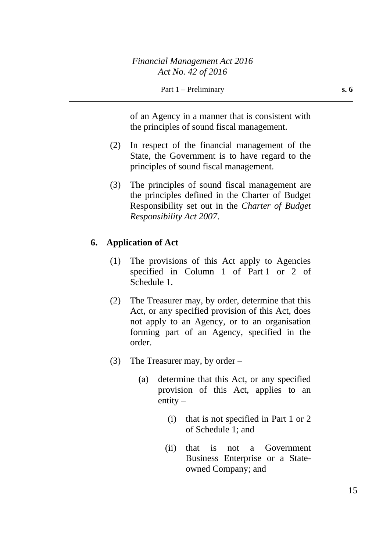of an Agency in a manner that is consistent with the principles of sound fiscal management.

- (2) In respect of the financial management of the State, the Government is to have regard to the principles of sound fiscal management.
- (3) The principles of sound fiscal management are the principles defined in the Charter of Budget Responsibility set out in the *Charter of Budget Responsibility Act 2007*.

### **6. Application of Act**

- (1) The provisions of this Act apply to Agencies specified in Column 1 of Part 1 or 2 of Schedule 1.
- (2) The Treasurer may, by order, determine that this Act, or any specified provision of this Act, does not apply to an Agency, or to an organisation forming part of an Agency, specified in the order.
- (3) The Treasurer may, by order
	- (a) determine that this Act, or any specified provision of this Act, applies to an entity –
		- (i) that is not specified in Part 1 or 2 of Schedule 1; and
		- (ii) that is not a Government Business Enterprise or a Stateowned Company; and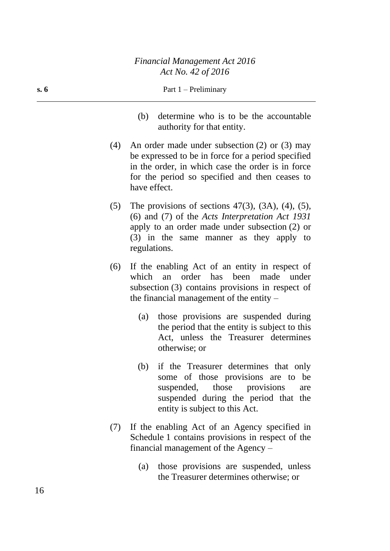- **s. 6** Part 1 Preliminary
	- (b) determine who is to be the accountable authority for that entity.
	- (4) An order made under subsection (2) or (3) may be expressed to be in force for a period specified in the order, in which case the order is in force for the period so specified and then ceases to have effect.
	- (5) The provisions of sections  $47(3)$ ,  $(3A)$ ,  $(4)$ ,  $(5)$ , (6) and (7) of the *Acts Interpretation Act 1931* apply to an order made under subsection (2) or (3) in the same manner as they apply to regulations.
	- (6) If the enabling Act of an entity in respect of which an order has been made under subsection (3) contains provisions in respect of the financial management of the entity –
		- (a) those provisions are suspended during the period that the entity is subject to this Act, unless the Treasurer determines otherwise; or
		- (b) if the Treasurer determines that only some of those provisions are to be suspended, those provisions are suspended during the period that the entity is subject to this Act.
	- (7) If the enabling Act of an Agency specified in Schedule 1 contains provisions in respect of the financial management of the Agency –
		- (a) those provisions are suspended, unless the Treasurer determines otherwise; or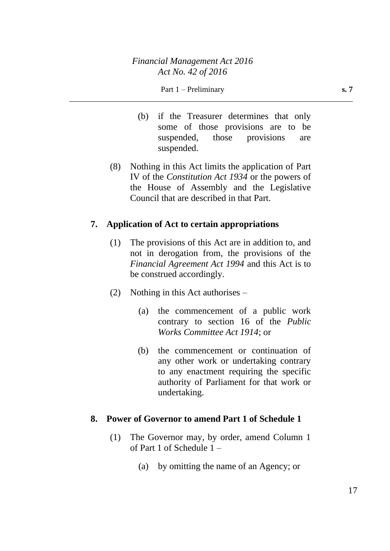- (b) if the Treasurer determines that only some of those provisions are to be suspended, those provisions are suspended.
- (8) Nothing in this Act limits the application of Part IV of the *Constitution Act 1934* or the powers of the House of Assembly and the Legislative Council that are described in that Part.

## **7. Application of Act to certain appropriations**

- (1) The provisions of this Act are in addition to, and not in derogation from, the provisions of the *Financial Agreement Act 1994* and this Act is to be construed accordingly.
- (2) Nothing in this Act authorises
	- (a) the commencement of a public work contrary to section 16 of the *Public Works Committee Act 1914*; or
	- (b) the commencement or continuation of any other work or undertaking contrary to any enactment requiring the specific authority of Parliament for that work or undertaking.

### **8. Power of Governor to amend Part 1 of Schedule 1**

- (1) The Governor may, by order, amend Column 1 of Part 1 of Schedule 1 –
	- (a) by omitting the name of an Agency; or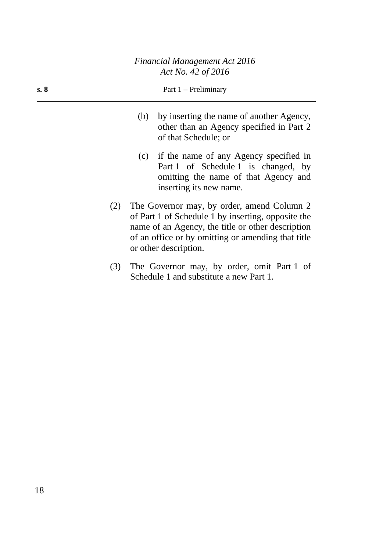| s. 8 | Part $1$ – Preliminary                                                                                           |
|------|------------------------------------------------------------------------------------------------------------------|
|      | (b) by inserting the name of another Agency,<br>other than an Agency specified in Part 2<br>of that Schedule; or |

- (c) if the name of any Agency specified in Part 1 of Schedule 1 is changed, by omitting the name of that Agency and inserting its new name.
- (2) The Governor may, by order, amend Column 2 of Part 1 of Schedule 1 by inserting, opposite the name of an Agency, the title or other description of an office or by omitting or amending that title or other description.
- (3) The Governor may, by order, omit Part 1 of Schedule 1 and substitute a new Part 1.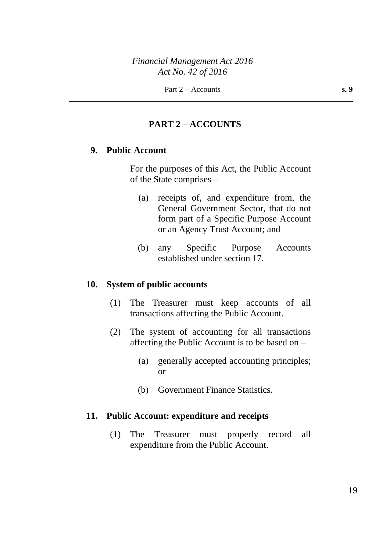## **PART 2 – ACCOUNTS**

## **9. Public Account**

For the purposes of this Act, the Public Account of the State comprises –

- (a) receipts of, and expenditure from, the General Government Sector, that do not form part of a Specific Purpose Account or an Agency Trust Account; and
- (b) any Specific Purpose Accounts established under section 17.

#### **10. System of public accounts**

- (1) The Treasurer must keep accounts of all transactions affecting the Public Account.
- (2) The system of accounting for all transactions affecting the Public Account is to be based on –
	- (a) generally accepted accounting principles; or
	- (b) Government Finance Statistics.

### **11. Public Account: expenditure and receipts**

(1) The Treasurer must properly record all expenditure from the Public Account.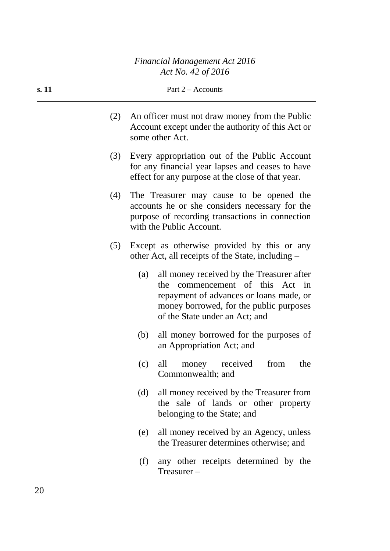- (2) An officer must not draw money from the Public Account except under the authority of this Act or some other Act.
- (3) Every appropriation out of the Public Account for any financial year lapses and ceases to have effect for any purpose at the close of that year.
- (4) The Treasurer may cause to be opened the accounts he or she considers necessary for the purpose of recording transactions in connection with the Public Account.
- (5) Except as otherwise provided by this or any other Act, all receipts of the State, including –
	- (a) all money received by the Treasurer after the commencement of this Act in repayment of advances or loans made, or money borrowed, for the public purposes of the State under an Act; and
	- (b) all money borrowed for the purposes of an Appropriation Act; and
	- (c) all money received from the Commonwealth; and
	- (d) all money received by the Treasurer from the sale of lands or other property belonging to the State; and
	- (e) all money received by an Agency, unless the Treasurer determines otherwise; and
	- (f) any other receipts determined by the Treasurer –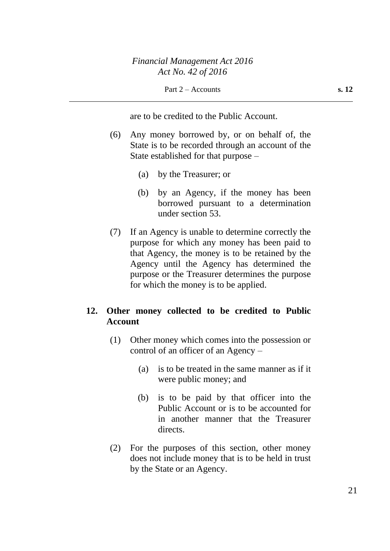are to be credited to the Public Account.

- (6) Any money borrowed by, or on behalf of, the State is to be recorded through an account of the State established for that purpose –
	- (a) by the Treasurer; or
	- (b) by an Agency, if the money has been borrowed pursuant to a determination under section 53.
- (7) If an Agency is unable to determine correctly the purpose for which any money has been paid to that Agency, the money is to be retained by the Agency until the Agency has determined the purpose or the Treasurer determines the purpose for which the money is to be applied.

# **12. Other money collected to be credited to Public Account**

- (1) Other money which comes into the possession or control of an officer of an Agency –
	- (a) is to be treated in the same manner as if it were public money; and
	- (b) is to be paid by that officer into the Public Account or is to be accounted for in another manner that the Treasurer directs.
- (2) For the purposes of this section, other money does not include money that is to be held in trust by the State or an Agency.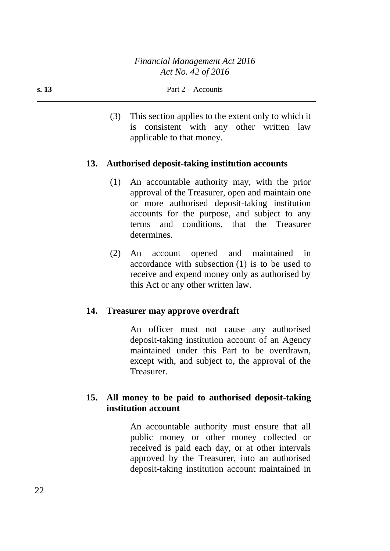(3) This section applies to the extent only to which it is consistent with any other written law applicable to that money.

## **13. Authorised deposit-taking institution accounts**

- (1) An accountable authority may, with the prior approval of the Treasurer, open and maintain one or more authorised deposit-taking institution accounts for the purpose, and subject to any terms and conditions, that the Treasurer determines.
- (2) An account opened and maintained in accordance with subsection (1) is to be used to receive and expend money only as authorised by this Act or any other written law.

### **14. Treasurer may approve overdraft**

An officer must not cause any authorised deposit-taking institution account of an Agency maintained under this Part to be overdrawn, except with, and subject to, the approval of the Treasurer.

## **15. All money to be paid to authorised deposit-taking institution account**

An accountable authority must ensure that all public money or other money collected or received is paid each day, or at other intervals approved by the Treasurer, into an authorised deposit-taking institution account maintained in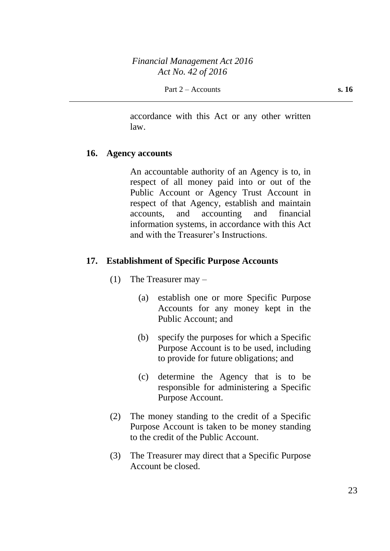accordance with this Act or any other written law.

#### **16. Agency accounts**

An accountable authority of an Agency is to, in respect of all money paid into or out of the Public Account or Agency Trust Account in respect of that Agency, establish and maintain accounts, and accounting and financial information systems, in accordance with this Act and with the Treasurer's Instructions.

#### **17. Establishment of Specific Purpose Accounts**

- (1) The Treasurer may
	- (a) establish one or more Specific Purpose Accounts for any money kept in the Public Account; and
	- (b) specify the purposes for which a Specific Purpose Account is to be used, including to provide for future obligations; and
	- (c) determine the Agency that is to be responsible for administering a Specific Purpose Account.
- (2) The money standing to the credit of a Specific Purpose Account is taken to be money standing to the credit of the Public Account.
- (3) The Treasurer may direct that a Specific Purpose Account be closed.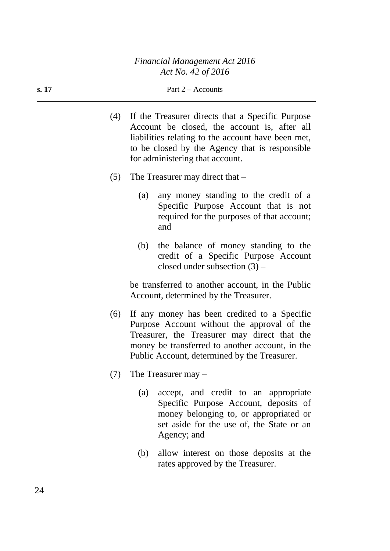#### **s.** 17 **Part 2** – Accounts

- (4) If the Treasurer directs that a Specific Purpose Account be closed, the account is, after all liabilities relating to the account have been met, to be closed by the Agency that is responsible for administering that account.
- (5) The Treasurer may direct that
	- (a) any money standing to the credit of a Specific Purpose Account that is not required for the purposes of that account; and
	- (b) the balance of money standing to the credit of a Specific Purpose Account closed under subsection (3) –

be transferred to another account, in the Public Account, determined by the Treasurer.

- (6) If any money has been credited to a Specific Purpose Account without the approval of the Treasurer, the Treasurer may direct that the money be transferred to another account, in the Public Account, determined by the Treasurer.
- (7) The Treasurer may
	- (a) accept, and credit to an appropriate Specific Purpose Account, deposits of money belonging to, or appropriated or set aside for the use of, the State or an Agency; and
	- (b) allow interest on those deposits at the rates approved by the Treasurer.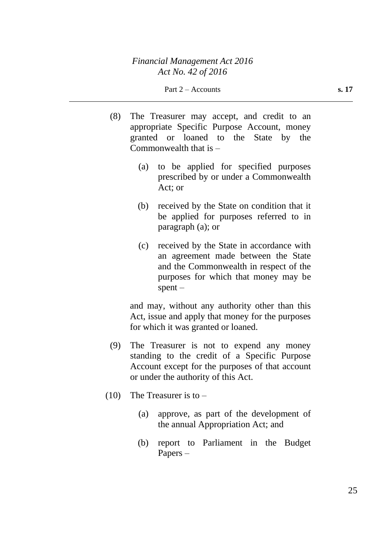- (8) The Treasurer may accept, and credit to an appropriate Specific Purpose Account, money granted or loaned to the State by the Commonwealth that is –
	- (a) to be applied for specified purposes prescribed by or under a Commonwealth Act; or
	- (b) received by the State on condition that it be applied for purposes referred to in paragraph (a); or
	- (c) received by the State in accordance with an agreement made between the State and the Commonwealth in respect of the purposes for which that money may be  $s$ pent –

and may, without any authority other than this Act, issue and apply that money for the purposes for which it was granted or loaned.

- (9) The Treasurer is not to expend any money standing to the credit of a Specific Purpose Account except for the purposes of that account or under the authority of this Act.
- $(10)$  The Treasurer is to
	- (a) approve, as part of the development of the annual Appropriation Act; and
	- (b) report to Parliament in the Budget Papers –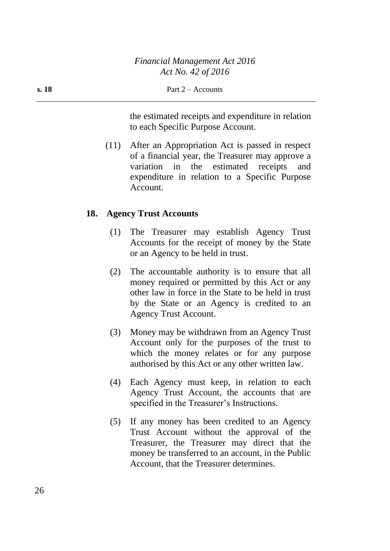the estimated receipts and expenditure in relation to each Specific Purpose Account.

(11) After an Appropriation Act is passed in respect of a financial year, the Treasurer may approve a variation in the estimated receipts and expenditure in relation to a Specific Purpose Account.

#### **18. Agency Trust Accounts**

- (1) The Treasurer may establish Agency Trust Accounts for the receipt of money by the State or an Agency to be held in trust.
- (2) The accountable authority is to ensure that all money required or permitted by this Act or any other law in force in the State to be held in trust by the State or an Agency is credited to an Agency Trust Account.
- (3) Money may be withdrawn from an Agency Trust Account only for the purposes of the trust to which the money relates or for any purpose authorised by this Act or any other written law.
- (4) Each Agency must keep, in relation to each Agency Trust Account, the accounts that are specified in the Treasurer's Instructions.
- (5) If any money has been credited to an Agency Trust Account without the approval of the Treasurer, the Treasurer may direct that the money be transferred to an account, in the Public Account, that the Treasurer determines.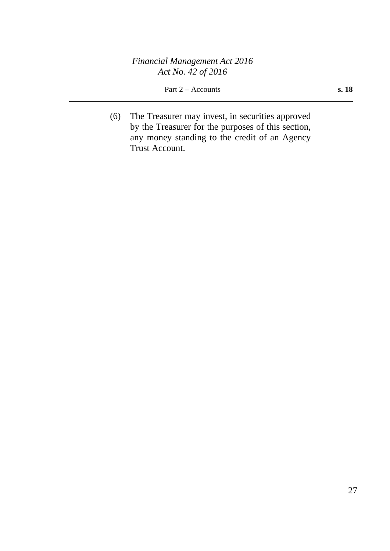*Financial Management Act 2016 Act No. 42 of 2016*

Part 2 – Accounts **s. 18** 

(6) The Treasurer may invest, in securities approved by the Treasurer for the purposes of this section, any money standing to the credit of an Agency Trust Account.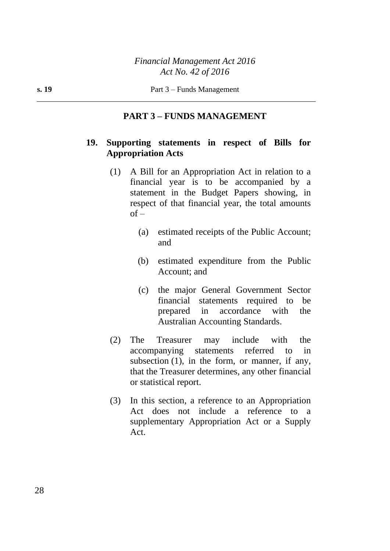### **PART 3 – FUNDS MANAGEMENT**

## **19. Supporting statements in respect of Bills for Appropriation Acts**

- (1) A Bill for an Appropriation Act in relation to a financial year is to be accompanied by a statement in the Budget Papers showing, in respect of that financial year, the total amounts  $of -$ 
	- (a) estimated receipts of the Public Account; and
	- (b) estimated expenditure from the Public Account; and
	- (c) the major General Government Sector financial statements required to be prepared in accordance with the Australian Accounting Standards.
- (2) The Treasurer may include with the accompanying statements referred to in subsection (1), in the form, or manner, if any, that the Treasurer determines, any other financial or statistical report.
- (3) In this section, a reference to an Appropriation Act does not include a reference to a supplementary Appropriation Act or a Supply Act.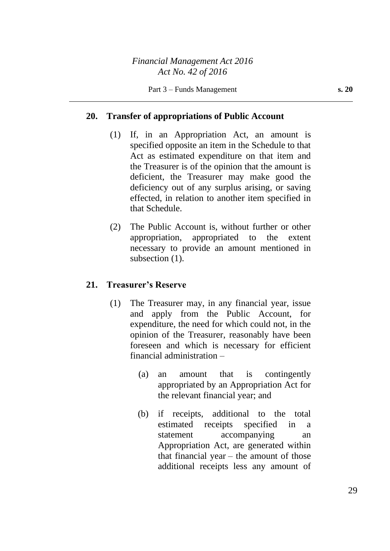## **20. Transfer of appropriations of Public Account**

- (1) If, in an Appropriation Act, an amount is specified opposite an item in the Schedule to that Act as estimated expenditure on that item and the Treasurer is of the opinion that the amount is deficient, the Treasurer may make good the deficiency out of any surplus arising, or saving effected, in relation to another item specified in that Schedule.
- (2) The Public Account is, without further or other appropriation, appropriated to the extent necessary to provide an amount mentioned in subsection  $(1)$ .

### **21. Treasurer's Reserve**

- (1) The Treasurer may, in any financial year, issue and apply from the Public Account, for expenditure, the need for which could not, in the opinion of the Treasurer, reasonably have been foreseen and which is necessary for efficient financial administration –
	- (a) an amount that is contingently appropriated by an Appropriation Act for the relevant financial year; and
	- (b) if receipts, additional to the total estimated receipts specified in a statement accompanying an Appropriation Act, are generated within that financial year – the amount of those additional receipts less any amount of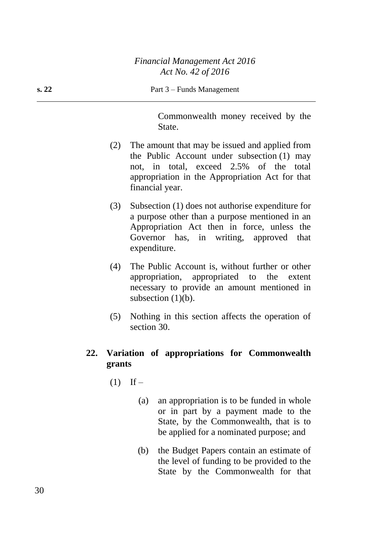| s. 22 | Part 3 – Funds Management |                                                                                                                                                                                                                   |  |
|-------|---------------------------|-------------------------------------------------------------------------------------------------------------------------------------------------------------------------------------------------------------------|--|
|       |                           | Commonwealth money received by the<br>State.                                                                                                                                                                      |  |
|       | (2)                       | The amount that may be issued and applied from<br>the Public Account under subsection (1) may<br>not, in total, exceed 2.5% of the<br>total<br>appropriation in the Appropriation Act for that<br>financial year. |  |
|       | (3)                       | Subsection (1) does not authorise expenditure for<br>a purpose other than a purpose mentioned in an<br>Appropriation Act then in force, unless the<br>Governor has, in writing, approved<br>that<br>expenditure.  |  |
|       | (4)                       | The Public Account is, without further or other<br>appropriation, appropriated to the<br>extent<br>necessary to provide an amount mentioned in<br>subsection $(1)(b)$ .                                           |  |
|       | (5)                       | Nothing in this section affects the operation of<br>section 30.                                                                                                                                                   |  |
| 22.   | grants                    | Variation of appropriations for Commonwealth                                                                                                                                                                      |  |

- $(1)$  If
	- (a) an appropriation is to be funded in whole or in part by a payment made to the State, by the Commonwealth, that is to be applied for a nominated purpose; and
	- (b) the Budget Papers contain an estimate of the level of funding to be provided to the State by the Commonwealth for that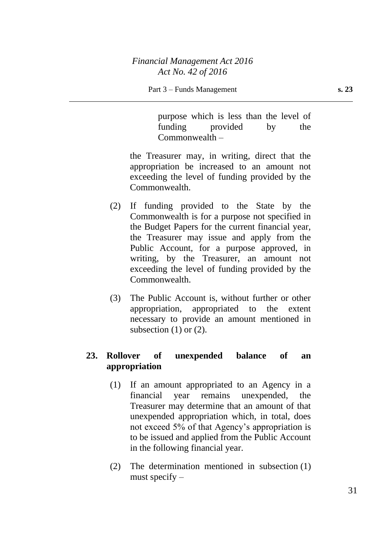purpose which is less than the level of funding provided by the Commonwealth –

the Treasurer may, in writing, direct that the appropriation be increased to an amount not exceeding the level of funding provided by the Commonwealth.

- (2) If funding provided to the State by the Commonwealth is for a purpose not specified in the Budget Papers for the current financial year, the Treasurer may issue and apply from the Public Account, for a purpose approved, in writing, by the Treasurer, an amount not exceeding the level of funding provided by the Commonwealth.
- (3) The Public Account is, without further or other appropriation, appropriated to the extent necessary to provide an amount mentioned in subsection  $(1)$  or  $(2)$ .

# **23. Rollover of unexpended balance of an appropriation**

- (1) If an amount appropriated to an Agency in a financial year remains unexpended, the Treasurer may determine that an amount of that unexpended appropriation which, in total, does not exceed 5% of that Agency's appropriation is to be issued and applied from the Public Account in the following financial year.
- (2) The determination mentioned in subsection (1) must specify –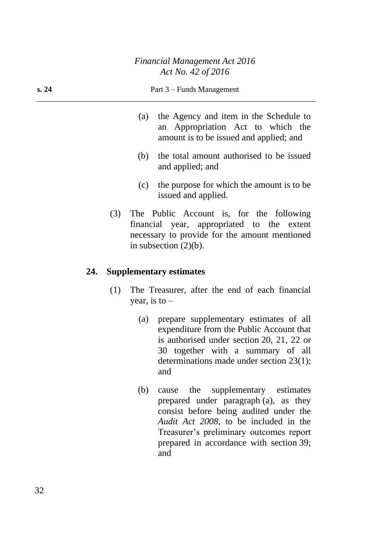- (a) the Agency and item in the Schedule to an Appropriation Act to which the amount is to be issued and applied; and
- (b) the total amount authorised to be issued and applied; and
- (c) the purpose for which the amount is to be issued and applied.
- (3) The Public Account is, for the following financial year, appropriated to the extent necessary to provide for the amount mentioned in subsection  $(2)(b)$ .

#### **24. Supplementary estimates**

- (1) The Treasurer, after the end of each financial year, is to  $-$ 
	- (a) prepare supplementary estimates of all expenditure from the Public Account that is authorised under section 20, 21, 22 or 30 together with a summary of all determinations made under section 23(1); and
	- (b) cause the supplementary estimates prepared under paragraph (a), as they consist before being audited under the *Audit Act 2008*, to be included in the Treasurer's preliminary outcomes report prepared in accordance with section 39; and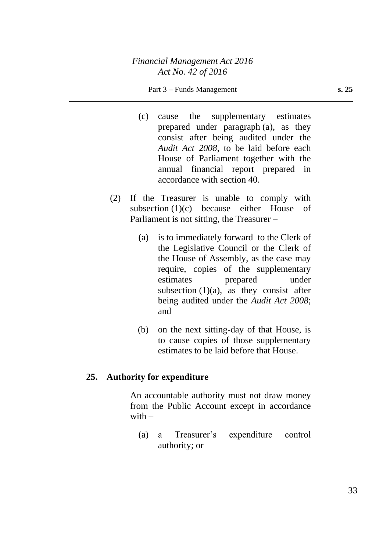#### Part 3 – Funds Management **s. 25**

- (c) cause the supplementary estimates prepared under paragraph (a), as they consist after being audited under the *Audit Act 2008*, to be laid before each House of Parliament together with the annual financial report prepared in accordance with section 40.
- (2) If the Treasurer is unable to comply with subsection (1)(c) because either House of Parliament is not sitting, the Treasurer –
	- (a) is to immediately forward to the Clerk of the Legislative Council or the Clerk of the House of Assembly, as the case may require, copies of the supplementary estimates prepared under subsection  $(1)(a)$ , as they consist after being audited under the *Audit Act 2008*; and
	- (b) on the next sitting-day of that House, is to cause copies of those supplementary estimates to be laid before that House.

#### **25. Authority for expenditure**

An accountable authority must not draw money from the Public Account except in accordance with  $-$ 

(a) a Treasurer's expenditure control authority; or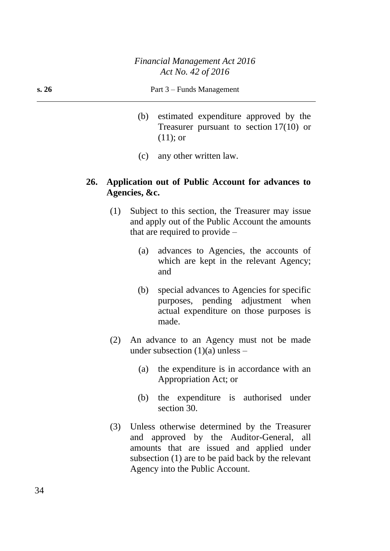- (b) estimated expenditure approved by the Treasurer pursuant to section 17(10) or (11); or
- (c) any other written law.

#### **26. Application out of Public Account for advances to Agencies, &c.**

- (1) Subject to this section, the Treasurer may issue and apply out of the Public Account the amounts that are required to provide –
	- (a) advances to Agencies, the accounts of which are kept in the relevant Agency; and
	- (b) special advances to Agencies for specific purposes, pending adjustment when actual expenditure on those purposes is made.
- (2) An advance to an Agency must not be made under subsection  $(1)(a)$  unless –
	- (a) the expenditure is in accordance with an Appropriation Act; or
	- (b) the expenditure is authorised under section 30.
- (3) Unless otherwise determined by the Treasurer and approved by the Auditor-General, all amounts that are issued and applied under subsection (1) are to be paid back by the relevant Agency into the Public Account.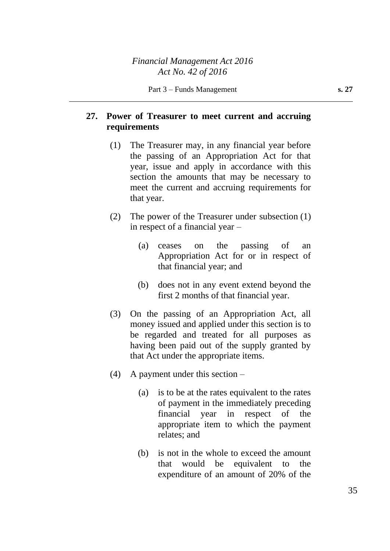# **27. Power of Treasurer to meet current and accruing requirements**

- (1) The Treasurer may, in any financial year before the passing of an Appropriation Act for that year, issue and apply in accordance with this section the amounts that may be necessary to meet the current and accruing requirements for that year.
- (2) The power of the Treasurer under subsection (1) in respect of a financial year –
	- (a) ceases on the passing of an Appropriation Act for or in respect of that financial year; and
	- (b) does not in any event extend beyond the first 2 months of that financial year.
- (3) On the passing of an Appropriation Act, all money issued and applied under this section is to be regarded and treated for all purposes as having been paid out of the supply granted by that Act under the appropriate items.
- (4) A payment under this section
	- (a) is to be at the rates equivalent to the rates of payment in the immediately preceding financial year in respect of the appropriate item to which the payment relates; and
	- (b) is not in the whole to exceed the amount that would be equivalent to the expenditure of an amount of 20% of the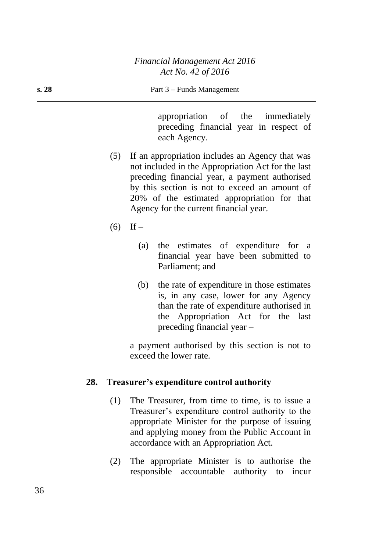appropriation of the immediately preceding financial year in respect of each Agency.

- (5) If an appropriation includes an Agency that was not included in the Appropriation Act for the last preceding financial year, a payment authorised by this section is not to exceed an amount of 20% of the estimated appropriation for that Agency for the current financial year.
- $(6)$  If
	- (a) the estimates of expenditure for a financial year have been submitted to Parliament; and
	- (b) the rate of expenditure in those estimates is, in any case, lower for any Agency than the rate of expenditure authorised in the Appropriation Act for the last preceding financial year –

a payment authorised by this section is not to exceed the lower rate.

#### **28. Treasurer's expenditure control authority**

- (1) The Treasurer, from time to time, is to issue a Treasurer's expenditure control authority to the appropriate Minister for the purpose of issuing and applying money from the Public Account in accordance with an Appropriation Act.
- (2) The appropriate Minister is to authorise the responsible accountable authority to incur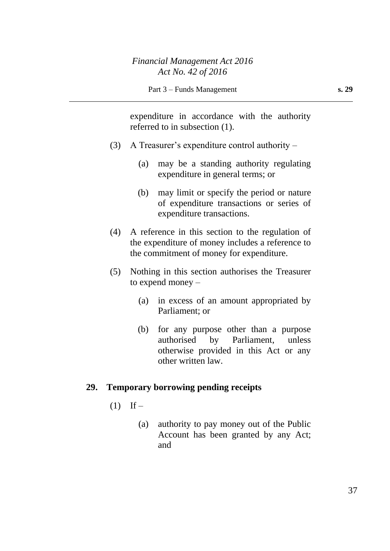expenditure in accordance with the authority referred to in subsection (1).

- (3) A Treasurer's expenditure control authority
	- (a) may be a standing authority regulating expenditure in general terms; or
	- (b) may limit or specify the period or nature of expenditure transactions or series of expenditure transactions.
- (4) A reference in this section to the regulation of the expenditure of money includes a reference to the commitment of money for expenditure.
- (5) Nothing in this section authorises the Treasurer to expend money –
	- (a) in excess of an amount appropriated by Parliament; or
	- (b) for any purpose other than a purpose authorised by Parliament, unless otherwise provided in this Act or any other written law.

### **29. Temporary borrowing pending receipts**

- $(1)$  If
	- (a) authority to pay money out of the Public Account has been granted by any Act; and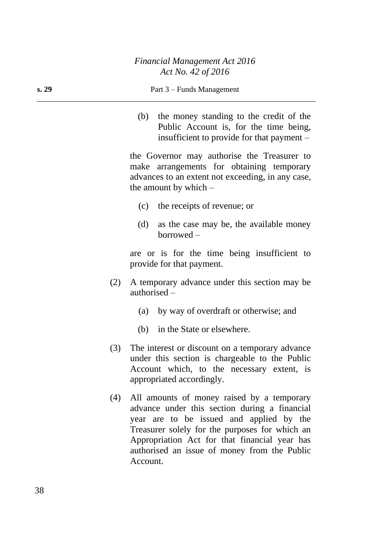#### **s. 29** Part 3 – Funds Management

(b) the money standing to the credit of the Public Account is, for the time being, insufficient to provide for that payment –

the Governor may authorise the Treasurer to make arrangements for obtaining temporary advances to an extent not exceeding, in any case, the amount by which –

- (c) the receipts of revenue; or
- (d) as the case may be, the available money borrowed –

are or is for the time being insufficient to provide for that payment.

- (2) A temporary advance under this section may be authorised –
	- (a) by way of overdraft or otherwise; and
	- (b) in the State or elsewhere.
- (3) The interest or discount on a temporary advance under this section is chargeable to the Public Account which, to the necessary extent, is appropriated accordingly.
- (4) All amounts of money raised by a temporary advance under this section during a financial year are to be issued and applied by the Treasurer solely for the purposes for which an Appropriation Act for that financial year has authorised an issue of money from the Public Account.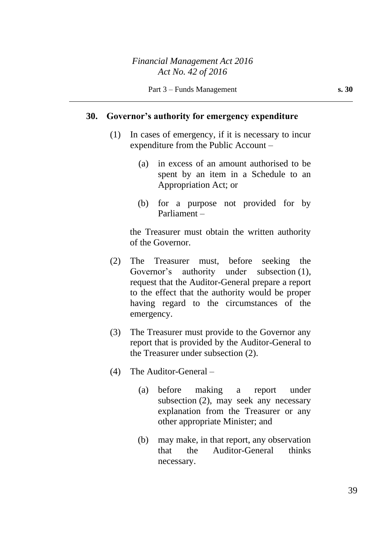#### **30. Governor's authority for emergency expenditure**

- (1) In cases of emergency, if it is necessary to incur expenditure from the Public Account –
	- (a) in excess of an amount authorised to be spent by an item in a Schedule to an Appropriation Act; or
	- (b) for a purpose not provided for by Parliament –

the Treasurer must obtain the written authority of the Governor.

- (2) The Treasurer must, before seeking the Governor's authority under subsection (1), request that the Auditor-General prepare a report to the effect that the authority would be proper having regard to the circumstances of the emergency.
- (3) The Treasurer must provide to the Governor any report that is provided by the Auditor-General to the Treasurer under subsection (2).
- (4) The Auditor-General
	- (a) before making a report under subsection (2), may seek any necessary explanation from the Treasurer or any other appropriate Minister; and
	- (b) may make, in that report, any observation that the Auditor-General thinks necessary.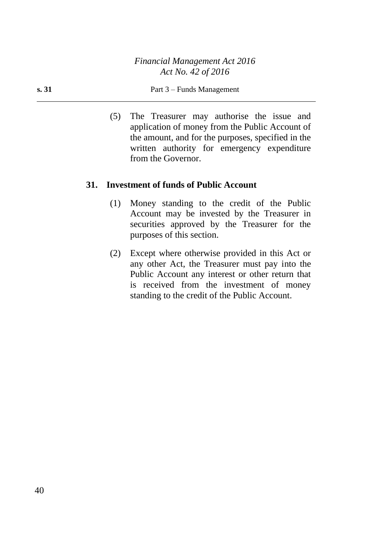*Financial Management Act 2016 Act No. 42 of 2016*

(5) The Treasurer may authorise the issue and application of money from the Public Account of the amount, and for the purposes, specified in the written authority for emergency expenditure from the Governor.

#### **31. Investment of funds of Public Account**

- (1) Money standing to the credit of the Public Account may be invested by the Treasurer in securities approved by the Treasurer for the purposes of this section.
- (2) Except where otherwise provided in this Act or any other Act, the Treasurer must pay into the Public Account any interest or other return that is received from the investment of money standing to the credit of the Public Account.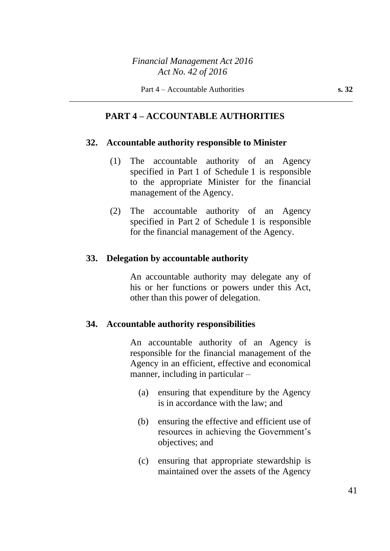### *Financial Management Act 2016 Act No. 42 of 2016*

### **PART 4 – ACCOUNTABLE AUTHORITIES**

#### **32. Accountable authority responsible to Minister**

- (1) The accountable authority of an Agency specified in Part 1 of Schedule 1 is responsible to the appropriate Minister for the financial management of the Agency.
- (2) The accountable authority of an Agency specified in Part 2 of Schedule 1 is responsible for the financial management of the Agency.

#### **33. Delegation by accountable authority**

An accountable authority may delegate any of his or her functions or powers under this Act, other than this power of delegation.

#### **34. Accountable authority responsibilities**

An accountable authority of an Agency is responsible for the financial management of the Agency in an efficient, effective and economical manner, including in particular –

- (a) ensuring that expenditure by the Agency is in accordance with the law; and
- (b) ensuring the effective and efficient use of resources in achieving the Government's objectives; and
- (c) ensuring that appropriate stewardship is maintained over the assets of the Agency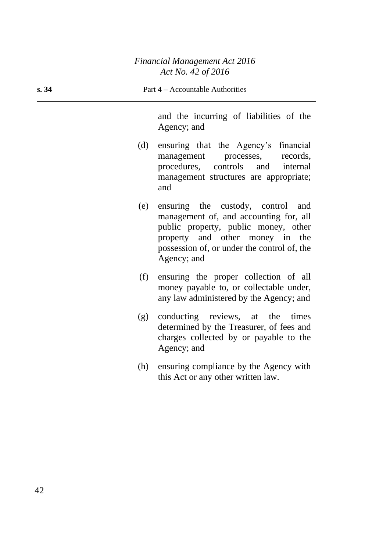and the incurring of liabilities of the Agency; and

- (d) ensuring that the Agency's financial management processes, records, procedures, controls and internal management structures are appropriate; and
- (e) ensuring the custody, control and management of, and accounting for, all public property, public money, other property and other money in the possession of, or under the control of, the Agency; and
- (f) ensuring the proper collection of all money payable to, or collectable under, any law administered by the Agency; and
- (g) conducting reviews, at the times determined by the Treasurer, of fees and charges collected by or payable to the Agency; and
- (h) ensuring compliance by the Agency with this Act or any other written law.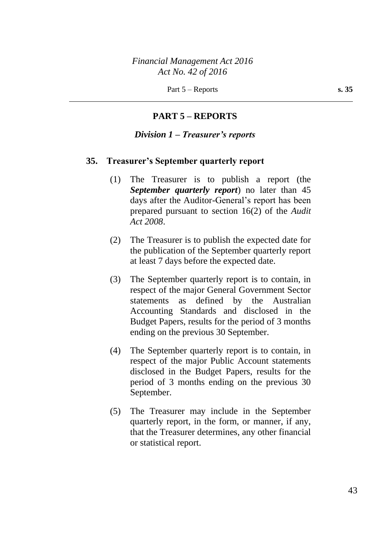## **PART 5 – REPORTS**

#### *Division 1 – Treasurer's reports*

#### **35. Treasurer's September quarterly report**

- (1) The Treasurer is to publish a report (the *September quarterly report*) no later than 45 days after the Auditor-General's report has been prepared pursuant to section 16(2) of the *Audit Act 2008*.
- (2) The Treasurer is to publish the expected date for the publication of the September quarterly report at least 7 days before the expected date.
- (3) The September quarterly report is to contain, in respect of the major General Government Sector statements as defined by the Australian Accounting Standards and disclosed in the Budget Papers, results for the period of 3 months ending on the previous 30 September.
- (4) The September quarterly report is to contain, in respect of the major Public Account statements disclosed in the Budget Papers, results for the period of 3 months ending on the previous 30 September.
- (5) The Treasurer may include in the September quarterly report, in the form, or manner, if any, that the Treasurer determines, any other financial or statistical report.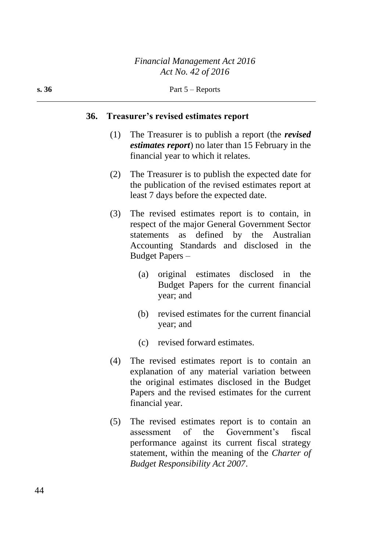#### **36. Treasurer's revised estimates report**

- (1) The Treasurer is to publish a report (the *revised estimates report*) no later than 15 February in the financial year to which it relates.
- (2) The Treasurer is to publish the expected date for the publication of the revised estimates report at least 7 days before the expected date.
- (3) The revised estimates report is to contain, in respect of the major General Government Sector statements as defined by the Australian Accounting Standards and disclosed in the Budget Papers –
	- (a) original estimates disclosed in the Budget Papers for the current financial year; and
	- (b) revised estimates for the current financial year; and
	- (c) revised forward estimates.
- (4) The revised estimates report is to contain an explanation of any material variation between the original estimates disclosed in the Budget Papers and the revised estimates for the current financial year.
- (5) The revised estimates report is to contain an assessment of the Government's fiscal performance against its current fiscal strategy statement, within the meaning of the *Charter of Budget Responsibility Act 2007*.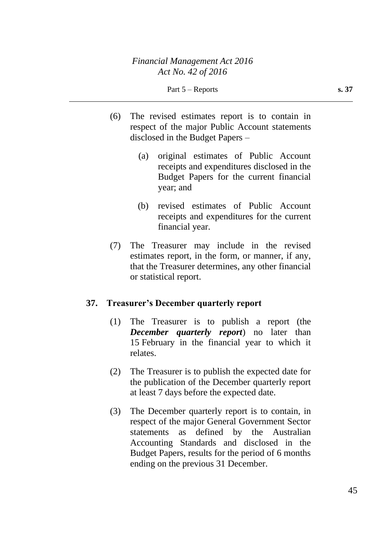- (6) The revised estimates report is to contain in respect of the major Public Account statements disclosed in the Budget Papers –
	- (a) original estimates of Public Account receipts and expenditures disclosed in the Budget Papers for the current financial year; and
	- (b) revised estimates of Public Account receipts and expenditures for the current financial year.
- (7) The Treasurer may include in the revised estimates report, in the form, or manner, if any, that the Treasurer determines, any other financial or statistical report.

## **37. Treasurer's December quarterly report**

- (1) The Treasurer is to publish a report (the *December quarterly report*) no later than 15 February in the financial year to which it relates.
- (2) The Treasurer is to publish the expected date for the publication of the December quarterly report at least 7 days before the expected date.
- (3) The December quarterly report is to contain, in respect of the major General Government Sector statements as defined by the Australian Accounting Standards and disclosed in the Budget Papers, results for the period of 6 months ending on the previous 31 December.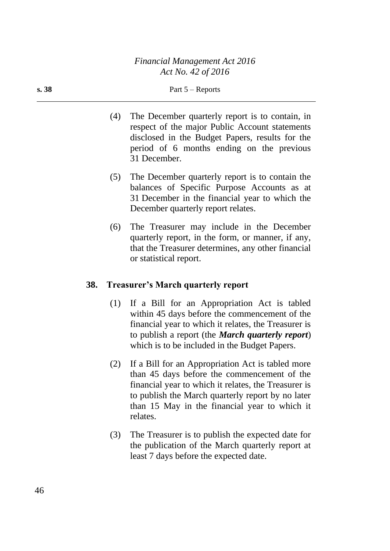- (4) The December quarterly report is to contain, in respect of the major Public Account statements disclosed in the Budget Papers, results for the period of 6 months ending on the previous 31 December.
- (5) The December quarterly report is to contain the balances of Specific Purpose Accounts as at 31 December in the financial year to which the December quarterly report relates.
- (6) The Treasurer may include in the December quarterly report, in the form, or manner, if any, that the Treasurer determines, any other financial or statistical report.

### **38. Treasurer's March quarterly report**

- (1) If a Bill for an Appropriation Act is tabled within 45 days before the commencement of the financial year to which it relates, the Treasurer is to publish a report (the *March quarterly report*) which is to be included in the Budget Papers.
- (2) If a Bill for an Appropriation Act is tabled more than 45 days before the commencement of the financial year to which it relates, the Treasurer is to publish the March quarterly report by no later than 15 May in the financial year to which it relates.
- (3) The Treasurer is to publish the expected date for the publication of the March quarterly report at least 7 days before the expected date.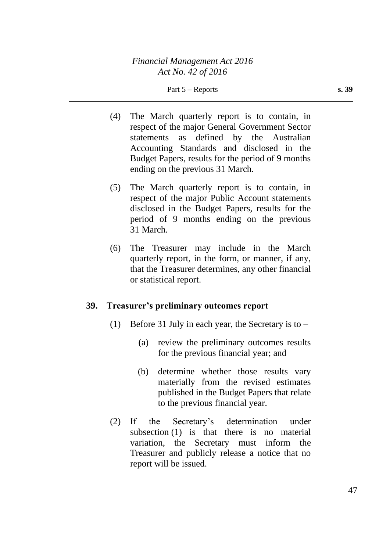- (4) The March quarterly report is to contain, in respect of the major General Government Sector statements as defined by the Australian Accounting Standards and disclosed in the Budget Papers, results for the period of 9 months ending on the previous 31 March.
- (5) The March quarterly report is to contain, in respect of the major Public Account statements disclosed in the Budget Papers, results for the period of 9 months ending on the previous 31 March.
- (6) The Treasurer may include in the March quarterly report, in the form, or manner, if any, that the Treasurer determines, any other financial or statistical report.

### **39. Treasurer's preliminary outcomes report**

- (1) Before 31 July in each year, the Secretary is to  $-$ 
	- (a) review the preliminary outcomes results for the previous financial year; and
	- (b) determine whether those results vary materially from the revised estimates published in the Budget Papers that relate to the previous financial year.
- (2) If the Secretary's determination under subsection (1) is that there is no material variation, the Secretary must inform the Treasurer and publicly release a notice that no report will be issued.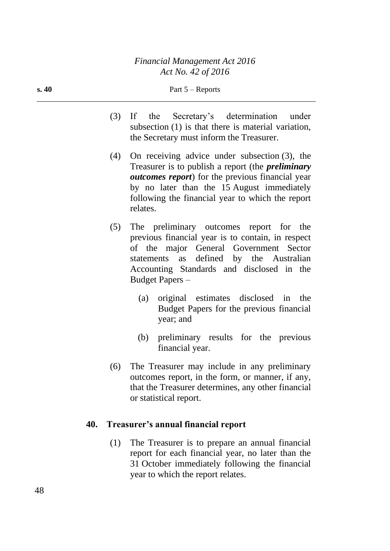- (3) If the Secretary's determination under subsection (1) is that there is material variation, the Secretary must inform the Treasurer.
- (4) On receiving advice under subsection (3), the Treasurer is to publish a report (the *preliminary outcomes report*) for the previous financial year by no later than the 15 August immediately following the financial year to which the report relates.
- (5) The preliminary outcomes report for the previous financial year is to contain, in respect of the major General Government Sector statements as defined by the Australian Accounting Standards and disclosed in the Budget Papers –
	- (a) original estimates disclosed in the Budget Papers for the previous financial year; and
	- (b) preliminary results for the previous financial year.
- (6) The Treasurer may include in any preliminary outcomes report, in the form, or manner, if any, that the Treasurer determines, any other financial or statistical report.

## **40. Treasurer's annual financial report**

(1) The Treasurer is to prepare an annual financial report for each financial year, no later than the 31 October immediately following the financial year to which the report relates.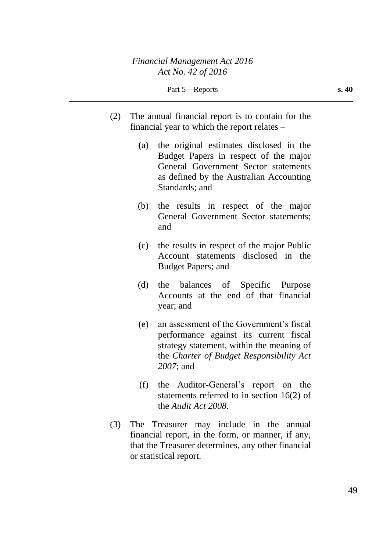- (2) The annual financial report is to contain for the financial year to which the report relates –
	- (a) the original estimates disclosed in the Budget Papers in respect of the major General Government Sector statements as defined by the Australian Accounting Standards; and
	- (b) the results in respect of the major General Government Sector statements; and
	- (c) the results in respect of the major Public Account statements disclosed in the Budget Papers; and
	- (d) the balances of Specific Purpose Accounts at the end of that financial year; and
	- (e) an assessment of the Government's fiscal performance against its current fiscal strategy statement, within the meaning of the *Charter of Budget Responsibility Act 2007*; and
	- (f) the Auditor-General's report on the statements referred to in section 16(2) of the *Audit Act 2008*.
- (3) The Treasurer may include in the annual financial report, in the form, or manner, if any, that the Treasurer determines, any other financial or statistical report.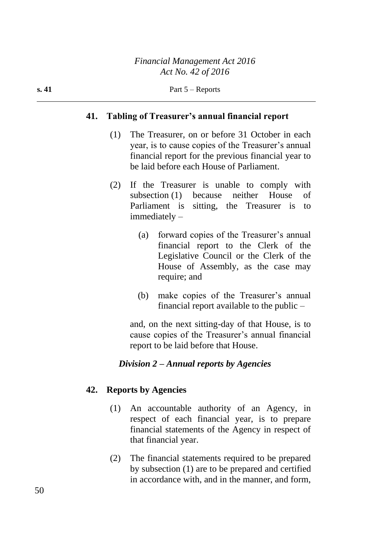#### **41. Tabling of Treasurer's annual financial report**

- (1) The Treasurer, on or before 31 October in each year, is to cause copies of the Treasurer's annual financial report for the previous financial year to be laid before each House of Parliament.
- (2) If the Treasurer is unable to comply with subsection (1) because neither House of Parliament is sitting, the Treasurer is to immediately –
	- (a) forward copies of the Treasurer's annual financial report to the Clerk of the Legislative Council or the Clerk of the House of Assembly, as the case may require; and
	- (b) make copies of the Treasurer's annual financial report available to the public –

and, on the next sitting-day of that House, is to cause copies of the Treasurer's annual financial report to be laid before that House.

#### *Division 2 – Annual reports by Agencies*

#### **42. Reports by Agencies**

- (1) An accountable authority of an Agency, in respect of each financial year, is to prepare financial statements of the Agency in respect of that financial year.
- (2) The financial statements required to be prepared by subsection (1) are to be prepared and certified in accordance with, and in the manner, and form,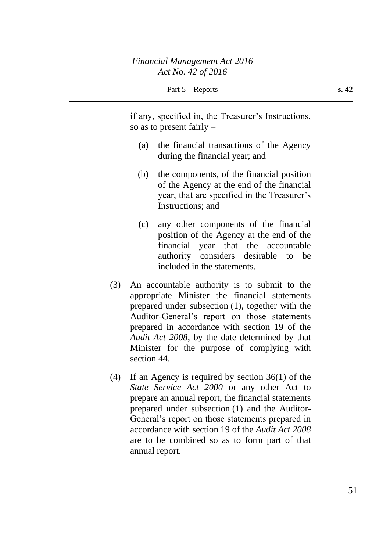if any, specified in, the Treasurer's Instructions, so as to present fairly –

- (a) the financial transactions of the Agency during the financial year; and
- (b) the components, of the financial position of the Agency at the end of the financial year, that are specified in the Treasurer's Instructions; and
- (c) any other components of the financial position of the Agency at the end of the financial year that the accountable authority considers desirable to be included in the statements.
- (3) An accountable authority is to submit to the appropriate Minister the financial statements prepared under subsection (1), together with the Auditor-General's report on those statements prepared in accordance with section 19 of the *Audit Act 2008*, by the date determined by that Minister for the purpose of complying with section 44.
- (4) If an Agency is required by section 36(1) of the *State Service Act 2000* or any other Act to prepare an annual report, the financial statements prepared under subsection (1) and the Auditor-General's report on those statements prepared in accordance with section 19 of the *Audit Act 2008* are to be combined so as to form part of that annual report.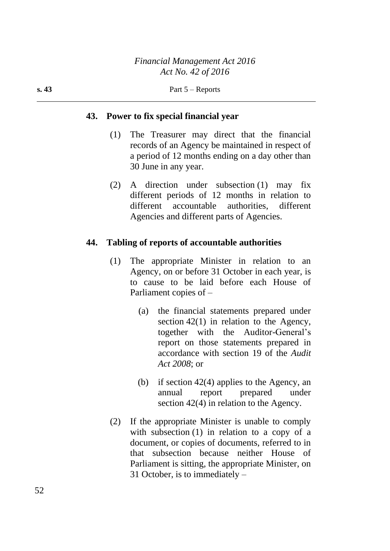### **43. Power to fix special financial year**

- (1) The Treasurer may direct that the financial records of an Agency be maintained in respect of a period of 12 months ending on a day other than 30 June in any year.
- (2) A direction under subsection (1) may fix different periods of 12 months in relation to different accountable authorities, different Agencies and different parts of Agencies.

### **44. Tabling of reports of accountable authorities**

- (1) The appropriate Minister in relation to an Agency, on or before 31 October in each year, is to cause to be laid before each House of Parliament copies of –
	- (a) the financial statements prepared under section 42(1) in relation to the Agency, together with the Auditor-General's report on those statements prepared in accordance with section 19 of the *Audit Act 2008*; or
	- (b) if section 42(4) applies to the Agency, an annual report prepared under section 42(4) in relation to the Agency.
- (2) If the appropriate Minister is unable to comply with subsection (1) in relation to a copy of a document, or copies of documents, referred to in that subsection because neither House of Parliament is sitting, the appropriate Minister, on 31 October, is to immediately –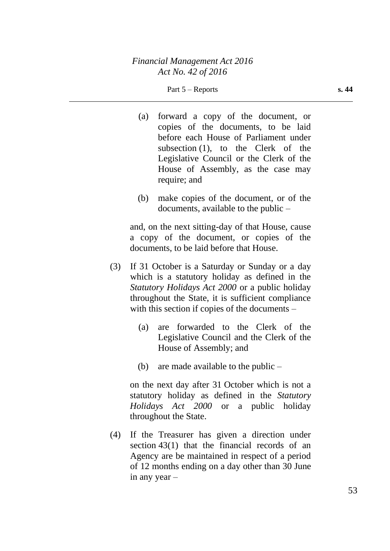- (a) forward a copy of the document, or copies of the documents, to be laid before each House of Parliament under subsection (1), to the Clerk of the Legislative Council or the Clerk of the House of Assembly, as the case may require; and
- (b) make copies of the document, or of the documents, available to the public –

and, on the next sitting-day of that House, cause a copy of the document, or copies of the documents, to be laid before that House.

- (3) If 31 October is a Saturday or Sunday or a day which is a statutory holiday as defined in the *Statutory Holidays Act 2000* or a public holiday throughout the State, it is sufficient compliance with this section if copies of the documents –
	- (a) are forwarded to the Clerk of the Legislative Council and the Clerk of the House of Assembly; and
	- (b) are made available to the public  $-$

on the next day after 31 October which is not a statutory holiday as defined in the *Statutory Holidays Act 2000* or a public holiday throughout the State.

(4) If the Treasurer has given a direction under section 43(1) that the financial records of an Agency are be maintained in respect of a period of 12 months ending on a day other than 30 June in any year –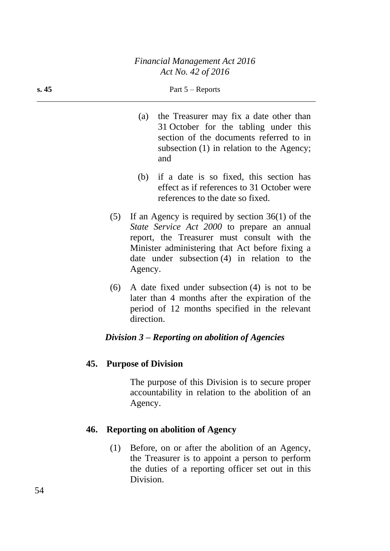- (a) the Treasurer may fix a date other than 31 October for the tabling under this section of the documents referred to in subsection (1) in relation to the Agency; and
- (b) if a date is so fixed, this section has effect as if references to 31 October were references to the date so fixed.
- (5) If an Agency is required by section 36(1) of the *State Service Act 2000* to prepare an annual report, the Treasurer must consult with the Minister administering that Act before fixing a date under subsection (4) in relation to the Agency.
- (6) A date fixed under subsection (4) is not to be later than 4 months after the expiration of the period of 12 months specified in the relevant direction.

### *Division 3 – Reporting on abolition of Agencies*

### **45. Purpose of Division**

The purpose of this Division is to secure proper accountability in relation to the abolition of an Agency.

### **46. Reporting on abolition of Agency**

(1) Before, on or after the abolition of an Agency, the Treasurer is to appoint a person to perform the duties of a reporting officer set out in this Division.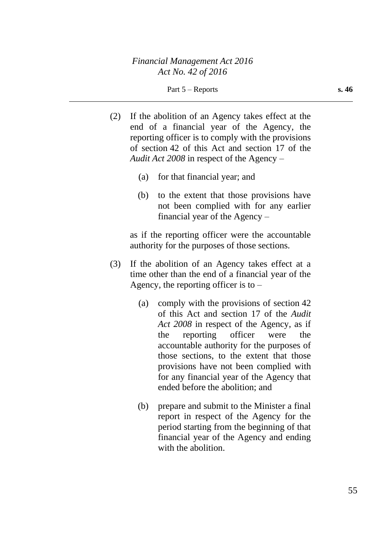Part 5 – Reports **s. 46** 

- (2) If the abolition of an Agency takes effect at the end of a financial year of the Agency, the reporting officer is to comply with the provisions of section 42 of this Act and section 17 of the *Audit Act 2008* in respect of the Agency –
	- (a) for that financial year; and
	- (b) to the extent that those provisions have not been complied with for any earlier financial year of the Agency –

as if the reporting officer were the accountable authority for the purposes of those sections.

- (3) If the abolition of an Agency takes effect at a time other than the end of a financial year of the Agency, the reporting officer is to  $-$ 
	- (a) comply with the provisions of section 42 of this Act and section 17 of the *Audit Act 2008* in respect of the Agency, as if the reporting officer were the accountable authority for the purposes of those sections, to the extent that those provisions have not been complied with for any financial year of the Agency that ended before the abolition; and
	- (b) prepare and submit to the Minister a final report in respect of the Agency for the period starting from the beginning of that financial year of the Agency and ending with the abolition.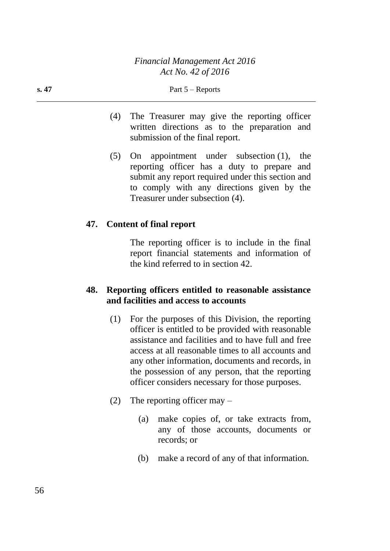- (4) The Treasurer may give the reporting officer written directions as to the preparation and submission of the final report.
- (5) On appointment under subsection (1), the reporting officer has a duty to prepare and submit any report required under this section and to comply with any directions given by the Treasurer under subsection (4).

### **47. Content of final report**

The reporting officer is to include in the final report financial statements and information of the kind referred to in section 42.

### **48. Reporting officers entitled to reasonable assistance and facilities and access to accounts**

- (1) For the purposes of this Division, the reporting officer is entitled to be provided with reasonable assistance and facilities and to have full and free access at all reasonable times to all accounts and any other information, documents and records, in the possession of any person, that the reporting officer considers necessary for those purposes.
- (2) The reporting officer may
	- (a) make copies of, or take extracts from, any of those accounts, documents or records; or
	- (b) make a record of any of that information.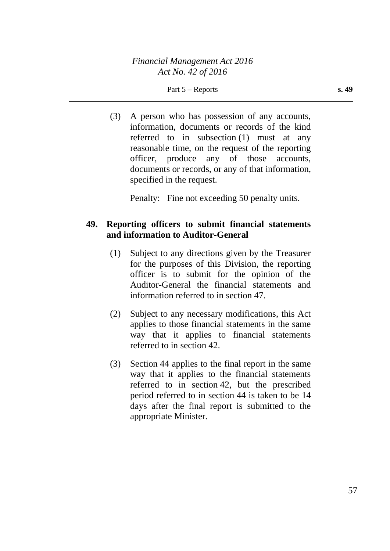Part 5 – Reports **s. 49**

(3) A person who has possession of any accounts, information, documents or records of the kind referred to in subsection (1) must at any reasonable time, on the request of the reporting officer, produce any of those accounts, documents or records, or any of that information, specified in the request.

Penalty: Fine not exceeding 50 penalty units.

## **49. Reporting officers to submit financial statements and information to Auditor-General**

- (1) Subject to any directions given by the Treasurer for the purposes of this Division, the reporting officer is to submit for the opinion of the Auditor-General the financial statements and information referred to in section 47.
- (2) Subject to any necessary modifications, this Act applies to those financial statements in the same way that it applies to financial statements referred to in section 42.
- (3) Section 44 applies to the final report in the same way that it applies to the financial statements referred to in section 42, but the prescribed period referred to in section 44 is taken to be 14 days after the final report is submitted to the appropriate Minister.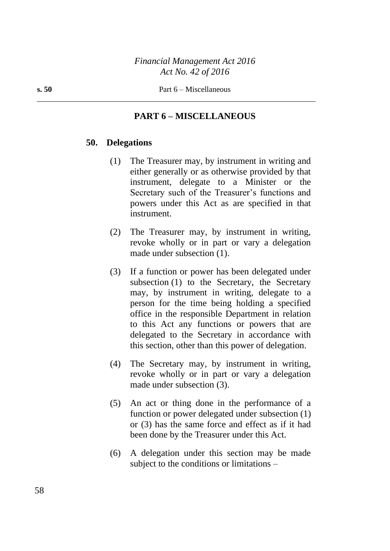### **PART 6 – MISCELLANEOUS**

#### **50. Delegations**

- (1) The Treasurer may, by instrument in writing and either generally or as otherwise provided by that instrument, delegate to a Minister or the Secretary such of the Treasurer's functions and powers under this Act as are specified in that instrument.
- (2) The Treasurer may, by instrument in writing, revoke wholly or in part or vary a delegation made under subsection (1).
- (3) If a function or power has been delegated under subsection (1) to the Secretary, the Secretary may, by instrument in writing, delegate to a person for the time being holding a specified office in the responsible Department in relation to this Act any functions or powers that are delegated to the Secretary in accordance with this section, other than this power of delegation.
- (4) The Secretary may, by instrument in writing, revoke wholly or in part or vary a delegation made under subsection (3).
- (5) An act or thing done in the performance of a function or power delegated under subsection (1) or (3) has the same force and effect as if it had been done by the Treasurer under this Act.
- (6) A delegation under this section may be made subject to the conditions or limitations –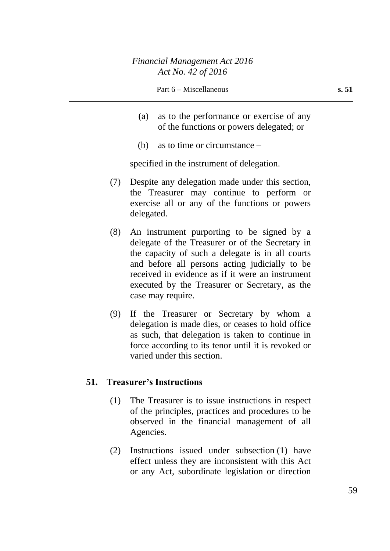- (a) as to the performance or exercise of any of the functions or powers delegated; or
- (b) as to time or circumstance –

specified in the instrument of delegation.

- (7) Despite any delegation made under this section, the Treasurer may continue to perform or exercise all or any of the functions or powers delegated.
- (8) An instrument purporting to be signed by a delegate of the Treasurer or of the Secretary in the capacity of such a delegate is in all courts and before all persons acting judicially to be received in evidence as if it were an instrument executed by the Treasurer or Secretary, as the case may require.
- (9) If the Treasurer or Secretary by whom a delegation is made dies, or ceases to hold office as such, that delegation is taken to continue in force according to its tenor until it is revoked or varied under this section.

### **51. Treasurer's Instructions**

- (1) The Treasurer is to issue instructions in respect of the principles, practices and procedures to be observed in the financial management of all Agencies.
- (2) Instructions issued under subsection (1) have effect unless they are inconsistent with this Act or any Act, subordinate legislation or direction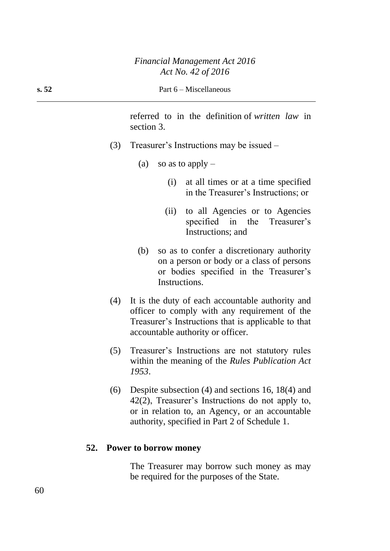referred to in the definition of *written law* in section 3.

- (3) Treasurer's Instructions may be issued
	- (a) so as to apply  $-$ 
		- (i) at all times or at a time specified in the Treasurer's Instructions; or
		- (ii) to all Agencies or to Agencies specified in the Treasurer's Instructions; and
	- (b) so as to confer a discretionary authority on a person or body or a class of persons or bodies specified in the Treasurer's Instructions.
- (4) It is the duty of each accountable authority and officer to comply with any requirement of the Treasurer's Instructions that is applicable to that accountable authority or officer.
- (5) Treasurer's Instructions are not statutory rules within the meaning of the *Rules Publication Act 1953*.
- (6) Despite subsection (4) and sections 16, 18(4) and 42(2), Treasurer's Instructions do not apply to, or in relation to, an Agency, or an accountable authority, specified in Part 2 of Schedule 1.

#### **52. Power to borrow money**

The Treasurer may borrow such money as may be required for the purposes of the State.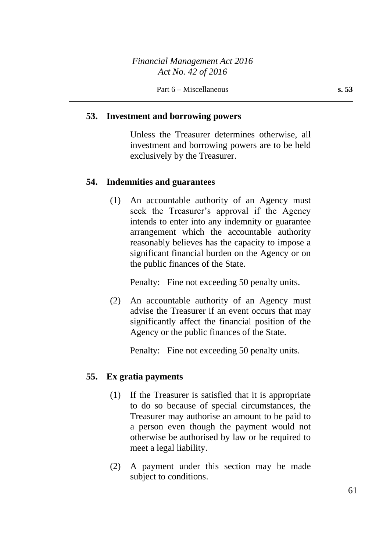#### **53. Investment and borrowing powers**

Unless the Treasurer determines otherwise, all investment and borrowing powers are to be held exclusively by the Treasurer.

#### **54. Indemnities and guarantees**

(1) An accountable authority of an Agency must seek the Treasurer's approval if the Agency intends to enter into any indemnity or guarantee arrangement which the accountable authority reasonably believes has the capacity to impose a significant financial burden on the Agency or on the public finances of the State.

Penalty: Fine not exceeding 50 penalty units.

(2) An accountable authority of an Agency must advise the Treasurer if an event occurs that may significantly affect the financial position of the Agency or the public finances of the State.

Penalty: Fine not exceeding 50 penalty units.

#### **55. Ex gratia payments**

- (1) If the Treasurer is satisfied that it is appropriate to do so because of special circumstances, the Treasurer may authorise an amount to be paid to a person even though the payment would not otherwise be authorised by law or be required to meet a legal liability.
- (2) A payment under this section may be made subject to conditions.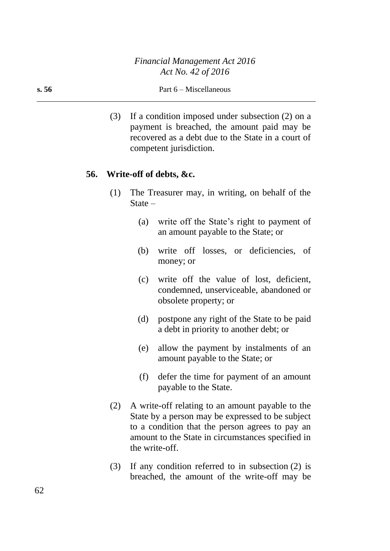(3) If a condition imposed under subsection (2) on a payment is breached, the amount paid may be recovered as a debt due to the State in a court of competent jurisdiction.

#### **56. Write-off of debts, &c.**

- (1) The Treasurer may, in writing, on behalf of the State –
	- (a) write off the State's right to payment of an amount payable to the State; or
	- (b) write off losses, or deficiencies, of money; or
	- (c) write off the value of lost, deficient, condemned, unserviceable, abandoned or obsolete property; or
	- (d) postpone any right of the State to be paid a debt in priority to another debt; or
	- (e) allow the payment by instalments of an amount payable to the State; or
	- (f) defer the time for payment of an amount payable to the State.
- (2) A write-off relating to an amount payable to the State by a person may be expressed to be subject to a condition that the person agrees to pay an amount to the State in circumstances specified in the write-off.
- (3) If any condition referred to in subsection (2) is breached, the amount of the write-off may be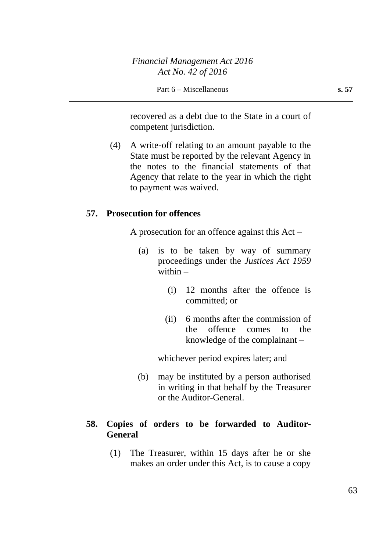recovered as a debt due to the State in a court of competent jurisdiction.

(4) A write-off relating to an amount payable to the State must be reported by the relevant Agency in the notes to the financial statements of that Agency that relate to the year in which the right to payment was waived.

#### **57. Prosecution for offences**

A prosecution for an offence against this Act –

- (a) is to be taken by way of summary proceedings under the *Justices Act 1959* within  $-$ 
	- (i) 12 months after the offence is committed; or
	- (ii) 6 months after the commission of the offence comes to the knowledge of the complainant –

whichever period expires later; and

(b) may be instituted by a person authorised in writing in that behalf by the Treasurer or the Auditor-General.

### **58. Copies of orders to be forwarded to Auditor-General**

(1) The Treasurer, within 15 days after he or she makes an order under this Act, is to cause a copy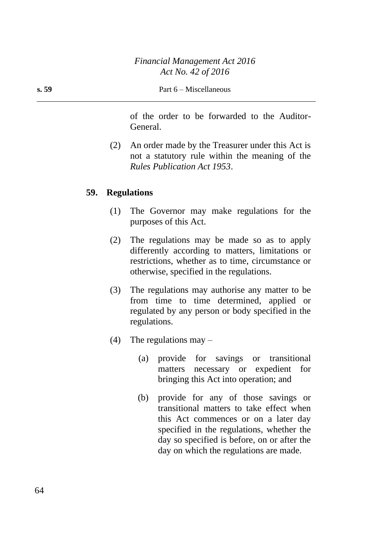of the order to be forwarded to the Auditor-General.

(2) An order made by the Treasurer under this Act is not a statutory rule within the meaning of the *Rules Publication Act 1953*.

#### **59. Regulations**

- (1) The Governor may make regulations for the purposes of this Act.
- (2) The regulations may be made so as to apply differently according to matters, limitations or restrictions, whether as to time, circumstance or otherwise, specified in the regulations.
- (3) The regulations may authorise any matter to be from time to time determined, applied or regulated by any person or body specified in the regulations.
- (4) The regulations may  $-$ 
	- (a) provide for savings or transitional matters necessary or expedient for bringing this Act into operation; and
	- (b) provide for any of those savings or transitional matters to take effect when this Act commences or on a later day specified in the regulations, whether the day so specified is before, on or after the day on which the regulations are made.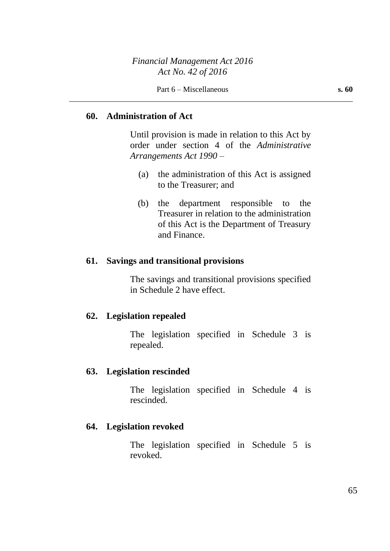#### **60. Administration of Act**

Until provision is made in relation to this Act by order under section 4 of the *Administrative Arrangements Act 1990* –

- (a) the administration of this Act is assigned to the Treasurer; and
- (b) the department responsible to the Treasurer in relation to the administration of this Act is the Department of Treasury and Finance.

#### **61. Savings and transitional provisions**

The savings and transitional provisions specified in Schedule 2 have effect.

#### **62. Legislation repealed**

The legislation specified in Schedule 3 is repealed.

#### **63. Legislation rescinded**

The legislation specified in Schedule 4 is rescinded.

#### **64. Legislation revoked**

The legislation specified in Schedule 5 is revoked.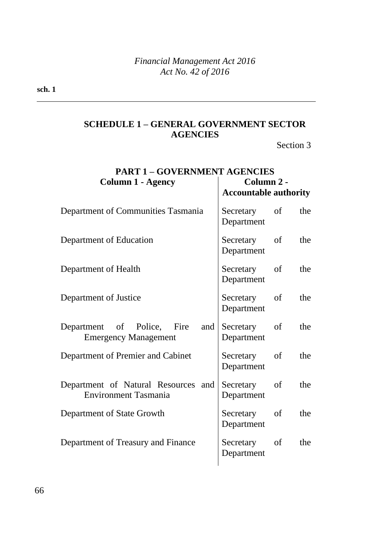# **SCHEDULE 1 – GENERAL GOVERNMENT SECTOR AGENCIES**

Section 3

| <b>PART 1 - GOVERNMENT AGENCIES</b>                                |                                          |               |     |  |
|--------------------------------------------------------------------|------------------------------------------|---------------|-----|--|
| <b>Column 1 - Agency</b>                                           | Column 2 -                               |               |     |  |
|                                                                    | <b>Accountable authority</b>             |               |     |  |
| Department of Communities Tasmania                                 | Secretary<br>Department                  | of            | the |  |
| Department of Education                                            | Secretary of<br>Department               |               | the |  |
| Department of Health                                               | Secretary<br>Department                  | of            | the |  |
| Department of Justice                                              | Secretary of<br>Department               |               | the |  |
| Department of Police, Fire<br>and<br><b>Emergency Management</b>   | Secretary<br>Department                  | <sub>of</sub> | the |  |
| Department of Premier and Cabinet                                  | Secretary<br>Department                  | of            | the |  |
| Department of Natural Resources and<br><b>Environment Tasmania</b> | <sub>of</sub><br>Secretary<br>Department |               | the |  |
| Department of State Growth                                         | Secretary<br>Department                  | of            | the |  |
| Department of Treasury and Finance                                 | Secretary of<br>Department               |               | the |  |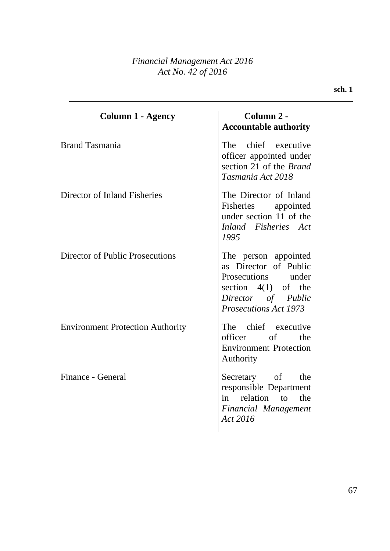## *Financial Management Act 2016 Act No. 42 of 2016*

| <b>Column 1 - Agency</b>                | Column 2 -<br><b>Accountable authority</b>                                                                                                         |
|-----------------------------------------|----------------------------------------------------------------------------------------------------------------------------------------------------|
| <b>Brand Tasmania</b>                   | The chief executive<br>officer appointed under<br>section 21 of the <i>Brand</i><br>Tasmania Act 2018                                              |
| Director of Inland Fisheries            | The Director of Inland<br>Fisheries appointed<br>under section 11 of the<br>Inland Fisheries Act<br>1995                                           |
| Director of Public Prosecutions         | The person appointed<br>as Director of Public<br>Prosecutions under<br>section $4(1)$ of the<br>Director of Public<br><b>Prosecutions Act 1973</b> |
| <b>Environment Protection Authority</b> | The chief executive<br>officer of the<br><b>Environment Protection</b><br>Authority                                                                |
| Finance - General                       | Secretary of the<br>responsible Department<br>in relation to the<br><b>Financial Management</b><br>Act 2016                                        |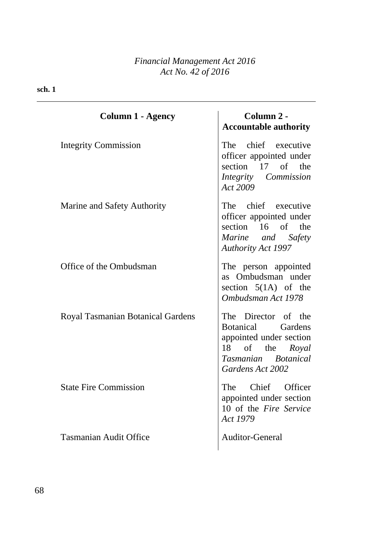| <b>Column 1 - Agency</b>                 | Column 2 -<br><b>Accountable authority</b>                                                                                        |  |
|------------------------------------------|-----------------------------------------------------------------------------------------------------------------------------------|--|
| <b>Integrity Commission</b>              | The chief executive<br>officer appointed under<br>section 17 of the<br>Integrity Commission<br>Act 2009                           |  |
| Marine and Safety Authority              | The chief executive<br>officer appointed under<br>section 16 of the<br>Marine and Safety<br><b>Authority Act 1997</b>             |  |
| Office of the Ombudsman                  | The person appointed<br>as Ombudsman under<br>section $5(1A)$ of the<br>Ombudsman Act 1978                                        |  |
| <b>Royal Tasmanian Botanical Gardens</b> | The Director of the<br>Botanical Gardens<br>appointed under section<br>18 of the Royal<br>Tasmanian Botanical<br>Gardens Act 2002 |  |
| <b>State Fire Commission</b>             | The Chief Officer<br>appointed under section<br>10 of the Fire Service<br>Act 1979                                                |  |
| <b>Tasmanian Audit Office</b>            | <b>Auditor-General</b>                                                                                                            |  |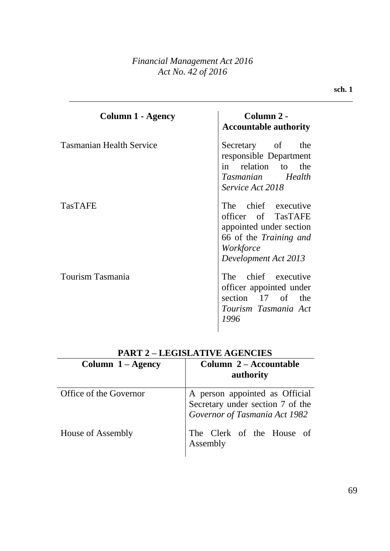## *Financial Management Act 2016 Act No. 42 of 2016*

| Column 1 - Agency               | Column 2 -<br><b>Accountable authority</b>                                                                                                 |
|---------------------------------|--------------------------------------------------------------------------------------------------------------------------------------------|
| <b>Tasmanian Health Service</b> | Secretary of the<br>responsible Department<br>in relation to the<br>Tasmanian Health<br>Service Act 2018                                   |
| <b>TasTAFE</b>                  | The chief executive<br>officer of TasTAFE<br>appointed under section<br>66 of the <i>Training and</i><br>Workforce<br>Development Act 2013 |
| Tourism Tasmania                | The chief executive<br>officer appointed under<br>section 17 of the<br>Tourism Tasmania Act<br>1996                                        |

| I ANI 2 – LEGISLATI VE AGENCIES |                                                                                                     |  |
|---------------------------------|-----------------------------------------------------------------------------------------------------|--|
| Column $1 - \text{Agency}$      | Column 2 – Accountable<br>authority                                                                 |  |
| Office of the Governor          | A person appointed as Official<br>Secretary under section 7 of the<br>Governor of Tasmania Act 1982 |  |
| House of Assembly               | The Clerk of the House of<br>Assembly                                                               |  |

# **PART 2 – LEGISLATIVE AGENCIES**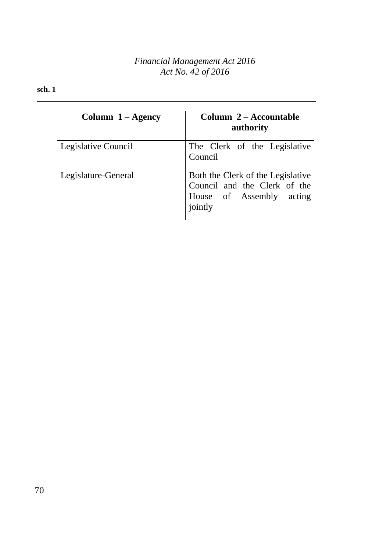## *Financial Management Act 2016 Act No. 42 of 2016*

| Column $1 - \text{Agency}$ | Column 2 – Accountable<br>authority                                                                      |
|----------------------------|----------------------------------------------------------------------------------------------------------|
| Legislative Council        | The Clerk of the Legislative<br>Council                                                                  |
| Legislature-General        | Both the Clerk of the Legislative<br>Council and the Clerk of the<br>House of Assembly acting<br>jointly |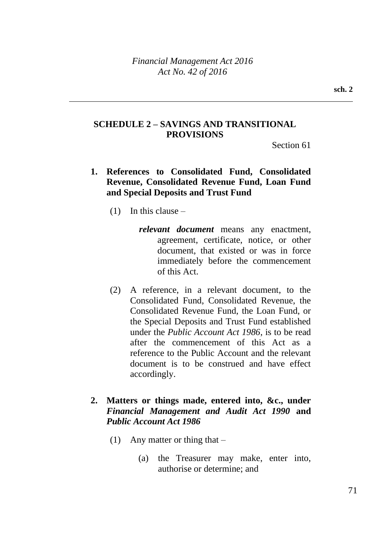## **SCHEDULE 2 – SAVINGS AND TRANSITIONAL PROVISIONS**

Section 61

- **1. References to Consolidated Fund, Consolidated Revenue, Consolidated Revenue Fund, Loan Fund and Special Deposits and Trust Fund**
	- $(1)$  In this clause
		- *relevant document* means any enactment, agreement, certificate, notice, or other document, that existed or was in force immediately before the commencement of this Act.
	- (2) A reference, in a relevant document, to the Consolidated Fund, Consolidated Revenue, the Consolidated Revenue Fund, the Loan Fund, or the Special Deposits and Trust Fund established under the *Public Account Act 1986*, is to be read after the commencement of this Act as a reference to the Public Account and the relevant document is to be construed and have effect accordingly.
- **2. Matters or things made, entered into, &c., under**  *Financial Management and Audit Act 1990* **and**  *Public Account Act 1986*
	- (1) Any matter or thing that  $-$ 
		- (a) the Treasurer may make, enter into, authorise or determine; and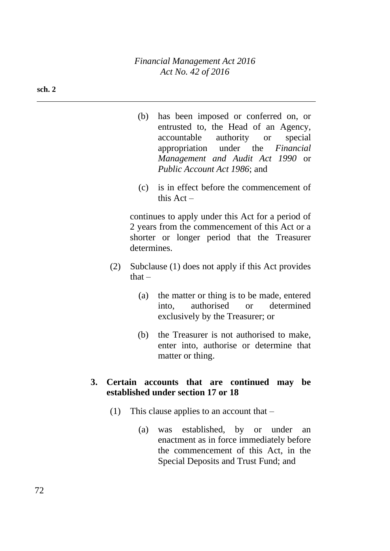- (b) has been imposed or conferred on, or entrusted to, the Head of an Agency, accountable authority or special appropriation under the *Financial Management and Audit Act 1990* or *Public Account Act 1986*; and
- (c) is in effect before the commencement of this  $Act -$

continues to apply under this Act for a period of 2 years from the commencement of this Act or a shorter or longer period that the Treasurer determines.

- (2) Subclause (1) does not apply if this Act provides  $that -$ 
	- (a) the matter or thing is to be made, entered into, authorised or determined exclusively by the Treasurer; or
	- (b) the Treasurer is not authorised to make, enter into, authorise or determine that matter or thing.

## **3. Certain accounts that are continued may be established under section 17 or 18**

- (1) This clause applies to an account that  $-$ 
	- (a) was established, by or under an enactment as in force immediately before the commencement of this Act, in the Special Deposits and Trust Fund; and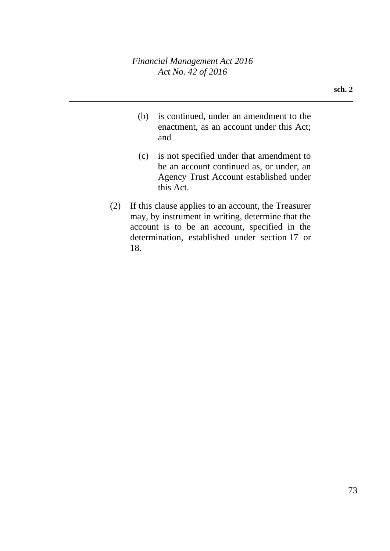- (b) is continued, under an amendment to the enactment, as an account under this Act; and
- (c) is not specified under that amendment to be an account continued as, or under, an Agency Trust Account established under this Act.
- (2) If this clause applies to an account, the Treasurer may, by instrument in writing, determine that the account is to be an account, specified in the determination, established under section 17 or 18.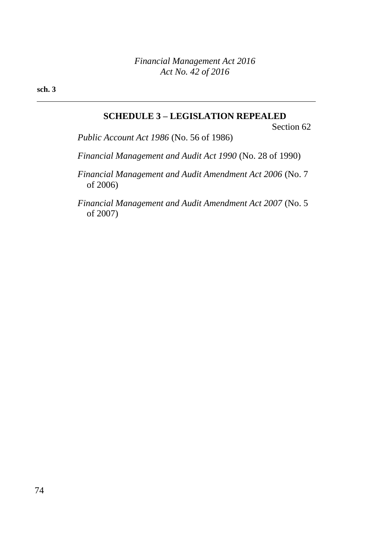**sch. 3**

# **SCHEDULE 3 – LEGISLATION REPEALED**

Section 62

*Public Account Act 1986* (No. 56 of 1986)

*Financial Management and Audit Act 1990* (No. 28 of 1990)

*Financial Management and Audit Amendment Act 2006* (No. 7 of 2006)

*Financial Management and Audit Amendment Act 2007* (No. 5 of 2007)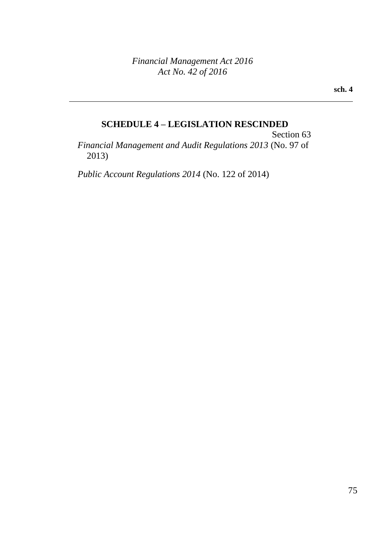**sch. 4**

### **SCHEDULE 4 – LEGISLATION RESCINDED**

Section 63 *Financial Management and Audit Regulations 2013* (No. 97 of 2013)

*Public Account Regulations 2014* (No. 122 of 2014)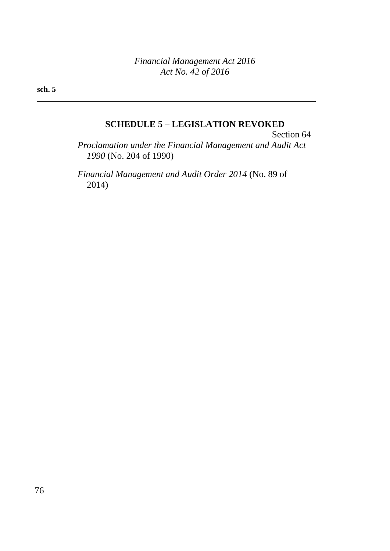**sch. 5**

# **SCHEDULE 5 – LEGISLATION REVOKED**

Section 64 *Proclamation under the Financial Management and Audit Act 1990* (No. 204 of 1990)

*Financial Management and Audit Order 2014* (No. 89 of 2014)